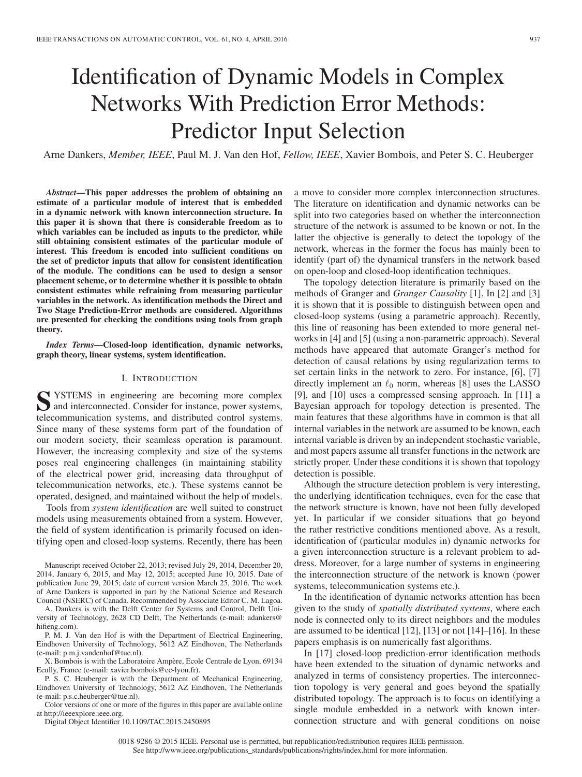# Identification of Dynamic Models in Complex Networks With Prediction Error Methods: Predictor Input Selection

Arne Dankers, *Member, IEEE*, Paul M. J. Van den Hof, *Fellow, IEEE*, Xavier Bombois, and Peter S. C. Heuberger

*Abstract***—This paper addresses the problem of obtaining an estimate of a particular module of interest that is embedded in a dynamic network with known interconnection structure. In this paper it is shown that there is considerable freedom as to which variables can be included as inputs to the predictor, while still obtaining consistent estimates of the particular module of interest. This freedom is encoded into sufficient conditions on the set of predictor inputs that allow for consistent identification of the module. The conditions can be used to design a sensor placement scheme, or to determine whether it is possible to obtain consistent estimates while refraining from measuring particular variables in the network. As identification methods the Direct and Two Stage Prediction-Error methods are considered. Algorithms are presented for checking the conditions using tools from graph theory.**

*Index Terms***—Closed-loop identification, dynamic networks, graph theory, linear systems, system identification.**

# I. INTRODUCTION

S<sup>S</sup> YSTEMS in engineering are becoming more complex and interconnected. Consider for instance, power systems, telecommunication systems, and distributed control systems. Since many of these systems form part of the foundation of our modern society, their seamless operation is paramount. However, the increasing complexity and size of the systems poses real engineering challenges (in maintaining stability of the electrical power grid, increasing data throughput of telecommunication networks, etc.). These systems cannot be operated, designed, and maintained without the help of models.

Tools from *system identification* are well suited to construct models using measurements obtained from a system. However, the field of system identification is primarily focused on identifying open and closed-loop systems. Recently, there has been

Manuscript received October 22, 2013; revised July 29, 2014, December 20, 2014, January 6, 2015, and May 12, 2015; accepted June 10, 2015. Date of publication June 29, 2015; date of current version March 25, 2016. The work of Arne Dankers is supported in part by the National Science and Research Council (NSERC) of Canada. Recommended by Associate Editor C. M. Lagoa.

A. Dankers is with the Delft Center for Systems and Control, Delft University of Technology, 2628 CD Delft, The Netherlands (e-mail: adankers@ hifieng.com).

P. M. J. Van den Hof is with the Department of Electrical Engineering, Eindhoven University of Technology, 5612 AZ Eindhoven, The Netherlands (e-mail: p.m.j.vandenhof@tue.nl).

X. Bombois is with the Laboratoire Ampère, Ecole Centrale de Lyon, 69134 Ecully, France (e-mail: xavier.bombois@ec-lyon.fr).

P. S. C. Heuberger is with the Department of Mechanical Engineering, Eindhoven University of Technology, 5612 AZ Eindhoven, The Netherlands (e-mail: p.s.c.heuberger@tue.nl).

Color versions of one or more of the figures in this paper are available online at http://ieeexplore.ieee.org.

Digital Object Identifier 10.1109/TAC.2015.2450895

a move to consider more complex interconnection structures. The literature on identification and dynamic networks can be split into two categories based on whether the interconnection structure of the network is assumed to be known or not. In the latter the objective is generally to detect the topology of the network, whereas in the former the focus has mainly been to identify (part of) the dynamical transfers in the network based on open-loop and closed-loop identification techniques.

The topology detection literature is primarily based on the methods of Granger and *Granger Causality* [1]. In [2] and [3] it is shown that it is possible to distinguish between open and closed-loop systems (using a parametric approach). Recently, this line of reasoning has been extended to more general networks in [4] and [5] (using a non-parametric approach). Several methods have appeared that automate Granger's method for detection of causal relations by using regularization terms to set certain links in the network to zero. For instance, [6], [7] directly implement an  $\ell_0$  norm, whereas [8] uses the LASSO [9], and [10] uses a compressed sensing approach. In [11] a Bayesian approach for topology detection is presented. The main features that these algorithms have in common is that all internal variables in the network are assumed to be known, each internal variable is driven by an independent stochastic variable, and most papers assume all transfer functions in the network are strictly proper. Under these conditions it is shown that topology detection is possible.

Although the structure detection problem is very interesting, the underlying identification techniques, even for the case that the network structure is known, have not been fully developed yet. In particular if we consider situations that go beyond the rather restrictive conditions mentioned above. As a result, identification of (particular modules in) dynamic networks for a given interconnection structure is a relevant problem to address. Moreover, for a large number of systems in engineering the interconnection structure of the network is known (power systems, telecommunication systems etc.).

In the identification of dynamic networks attention has been given to the study of *spatially distributed systems*, where each node is connected only to its direct neighbors and the modules are assumed to be identical [12], [13] or not [14]–[16]. In these papers emphasis is on numerically fast algorithms.

In [17] closed-loop prediction-error identification methods have been extended to the situation of dynamic networks and analyzed in terms of consistency properties. The interconnection topology is very general and goes beyond the spatially distributed topology. The approach is to focus on identifying a single module embedded in a network with known interconnection structure and with general conditions on noise

0018-9286 © 2015 IEEE. Personal use is permitted, but republication/redistribution requires IEEE permission. See http://www.ieee.org/publications\_standards/publications/rights/index.html for more information.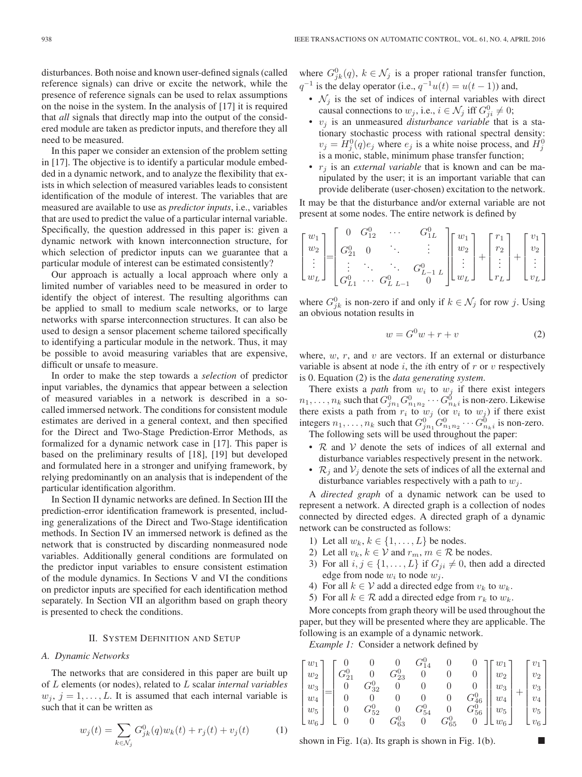disturbances. Both noise and known user-defined signals (called reference signals) can drive or excite the network, while the presence of reference signals can be used to relax assumptions on the noise in the system. In the analysis of [17] it is required that *all* signals that directly map into the output of the considered module are taken as predictor inputs, and therefore they all need to be measured.

In this paper we consider an extension of the problem setting in [17]. The objective is to identify a particular module embedded in a dynamic network, and to analyze the flexibility that exists in which selection of measured variables leads to consistent identification of the module of interest. The variables that are measured are available to use as *predictor inputs*, i.e., variables that are used to predict the value of a particular internal variable. Specifically, the question addressed in this paper is: given a dynamic network with known interconnection structure, for which selection of predictor inputs can we guarantee that a particular module of interest can be estimated consistently?

Our approach is actually a local approach where only a limited number of variables need to be measured in order to identify the object of interest. The resulting algorithms can be applied to small to medium scale networks, or to large networks with sparse interconnection structures. It can also be used to design a sensor placement scheme tailored specifically to identifying a particular module in the network. Thus, it may be possible to avoid measuring variables that are expensive, difficult or unsafe to measure.

In order to make the step towards a *selection* of predictor input variables, the dynamics that appear between a selection of measured variables in a network is described in a socalled immersed network. The conditions for consistent module estimates are derived in a general context, and then specified for the Direct and Two-Stage Prediction-Error Methods, as formalized for a dynamic network case in [17]. This paper is based on the preliminary results of [18], [19] but developed and formulated here in a stronger and unifying framework, by relying predominantly on an analysis that is independent of the particular identification algorithm.

In Section II dynamic networks are defined. In Section III the prediction-error identification framework is presented, including generalizations of the Direct and Two-Stage identification methods. In Section IV an immersed network is defined as the network that is constructed by discarding nonmeasured node variables. Additionally general conditions are formulated on the predictor input variables to ensure consistent estimation of the module dynamics. In Sections V and VI the conditions on predictor inputs are specified for each identification method separately. In Section VII an algorithm based on graph theory is presented to check the conditions.

#### II. SYSTEM DEFINITION AND SETUP

#### *A. Dynamic Networks*

The networks that are considered in this paper are built up of L elements (or nodes), related to L scalar *internal variables*  $w_j$ ,  $j = 1, \ldots, L$ . It is assumed that each internal variable is such that it can be written as

$$
w_j(t) = \sum_{k \in \mathcal{N}_j} G_{jk}^0(q) w_k(t) + r_j(t) + v_j(t)
$$
 (1)

where  $G_{jk}^0(q)$ ,  $k \in \mathcal{N}_j$  is a proper rational transfer function,  $q^{-1}$  is the delay operator (i.e.,  $q^{-1}u(t) = u(t-1)$ ) and,

- $\mathcal{N}_i$  is the set of indices of internal variables with direct causal connections to  $w_j$ , i.e.,  $i \in \mathcal{N}_j$  iff  $G_{ji}^0 \neq 0$ ;
- $v_j$  is an unmeasured *disturbance variable* that is a stationary stochastic process with rational spectral density:  $v_j = H_j^0(q)e_j$  where  $e_j$  is a white noise process, and  $H_j^0$ is a monic, stable, minimum phase transfer function;
- $r_i$  is an *external variable* that is known and can be manipulated by the user; it is an important variable that can provide deliberate (user-chosen) excitation to the network.

It may be that the disturbance and/or external variable are not present at some nodes. The entire network is defined by

$$
\begin{bmatrix} w_1 \\ w_2 \\ \vdots \\ w_L \end{bmatrix} = \begin{bmatrix} 0 & G_{12}^0 & \cdots & G_{1L}^0 \\ G_{21}^0 & 0 & \ddots & \vdots \\ \vdots & \ddots & \ddots & G_{L-1}^0 & \vdots \\ G_{L1}^0 & \cdots & G_{L}^0 & \cdots & G_{L-1}^0 \end{bmatrix} \begin{bmatrix} w_1 \\ w_2 \\ \vdots \\ w_L \end{bmatrix} + \begin{bmatrix} r_1 \\ r_2 \\ \vdots \\ r_L \end{bmatrix} + \begin{bmatrix} v_1 \\ v_2 \\ \vdots \\ v_L \end{bmatrix}
$$

where  $G_{jk}^0$  is non-zero if and only if  $k \in \mathcal{N}_j$  for row j. Using an obvious notation results in

$$
w = G^0 w + r + v \tag{2}
$$

where,  $w$ ,  $r$ , and  $v$  are vectors. If an external or disturbance variable is absent at node  $i$ , the *i*th entry of  $r$  or  $v$  respectively is 0. Equation (2) is the *data generating system*.

There exists a *path* from  $w_i$  to  $w_j$  if there exist integers  $n_1, \ldots, n_k$  such that  $G_{jn_1}^0 G_{n_1 n_2}^0 \cdots G_{n_k i}^0$  is non-zero. Likewise there exists a path from  $r_i$  to  $w_j$  (or  $v_i$  to  $w_j$ ) if there exist integers  $n_1, \ldots, n_k$  such that  $G_{j n_1}^0 G_{n_1 n_2}^0 \cdots G_{n_k i}^0$  is non-zero.

The following sets will be used throughout the paper:

- $R$  and  $V$  denote the sets of indices of all external and disturbance variables respectively present in the network.
- $\mathcal{R}_i$  and  $\mathcal{V}_i$  denote the sets of indices of all the external and disturbance variables respectively with a path to  $w_i$ .

A *directed graph* of a dynamic network can be used to represent a network. A directed graph is a collection of nodes connected by directed edges. A directed graph of a dynamic network can be constructed as follows:

- 1) Let all  $w_k, k \in \{1, \ldots, L\}$  be nodes.
- 2) Let all  $v_k, k \in \mathcal{V}$  and  $r_m, m \in \mathcal{R}$  be nodes.
- 3) For all  $i, j \in \{1, \ldots, L\}$  if  $G_{ji} \neq 0$ , then add a directed edge from node  $w_i$  to node  $w_j$ .
- 4) For all  $k \in V$  add a directed edge from  $v_k$  to  $w_k$ .
- 5) For all  $k \in \mathcal{R}$  add a directed edge from  $r_k$  to  $w_k$ .

More concepts from graph theory will be used throughout the paper, but they will be presented where they are applicable. The following is an example of a dynamic network.

*Example 1:* Consider a network defined by

$$
\begin{bmatrix} w_1 \\ w_2 \\ w_3 \\ w_4 \\ w_5 \\ w_6 \end{bmatrix} = \begin{bmatrix} 0 & 0 & 0 & G_{14}^0 & 0 & 0 \\ G_{21}^0 & 0 & G_{23}^0 & 0 & 0 & 0 \\ 0 & G_{32}^0 & 0 & 0 & 0 & 0 \\ 0 & 0 & 0 & 0 & G_{46}^0 \\ 0 & G_{52}^0 & 0 & G_{54}^0 & 0 & G_{56}^0 \\ 0 & 0 & G_{63}^0 & 0 & G_{65}^0 & 0 \end{bmatrix} \begin{bmatrix} w_1 \\ w_2 \\ w_3 \\ w_4 \\ w_5 \\ w_6 \end{bmatrix} + \begin{bmatrix} v_1 \\ v_2 \\ v_3 \\ v_4 \\ v_5 \\ v_6 \end{bmatrix}
$$

shown in Fig.  $1(a)$ . Its graph is shown in Fig.  $1(b)$ .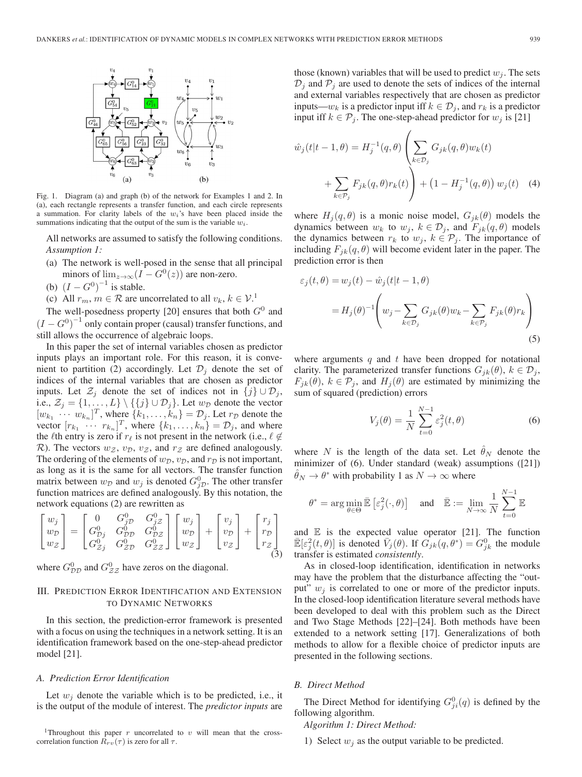

Fig. 1. Diagram (a) and graph (b) of the network for Examples 1 and 2. In (a), each rectangle represents a transfer function, and each circle represents a summation. For clarity labels of the  $w_i$ 's have been placed inside the summations indicating that the output of the sum is the variable  $w_i$ .

All networks are assumed to satisfy the following conditions. *Assumption 1:*

- (a) The network is well-posed in the sense that all principal minors of  $\lim_{z\to\infty} (I - G^0(z))$  are non-zero.
- (b)  $(I G^0)^{-1}$  is stable.
- (c) All  $r_m$ ,  $m \in \mathcal{R}$  are uncorrelated to all  $v_k$ ,  $k \in \mathcal{V}$ .<sup>1</sup>

The well-posedness property [20] ensures that both  $G^0$  and  $(I - G^0)^{-1}$  only contain proper (causal) transfer functions, and still allows the occurrence of algebraic loops.

In this paper the set of internal variables chosen as predictor inputs plays an important role. For this reason, it is convenient to partition (2) accordingly. Let  $\mathcal{D}_i$  denote the set of indices of the internal variables that are chosen as predictor inputs. Let  $\mathcal{Z}_j$  denote the set of indices not in  $\{j\} \cup \mathcal{D}_j$ , i.e.,  $\mathcal{Z}_j = \{1, \ldots, L\} \setminus \{\{j\} \cup \mathcal{D}_j\}$ . Let  $w_{\mathcal{D}}$  denote the vector  $[w_{k_1} \cdots w_{k_n}]^T$ , where  $\{k_1, \ldots, k_n\} = D_j$ . Let  $r_{\mathcal{D}}$  denote the vector  $[r_{k_1} \cdots r_{k_n}]^T$ , where  $\{k_1, \ldots, k_n\} = D_j$ , and where the  $\ell$ th entry is zero if  $r_{\ell}$  is not present in the network (i.e.,  $\ell \notin$ R). The vectors  $w_z$ ,  $v_p$ ,  $v_z$ , and  $r_z$  are defined analogously. The ordering of the elements of  $w_{\mathcal{D}}$ ,  $v_{\mathcal{D}}$ , and  $r_{\mathcal{D}}$  is not important, as long as it is the same for all vectors. The transfer function matrix between  $w_{\mathcal{D}}$  and  $w_j$  is denoted  $G_{j\mathcal{D}}^0$ . The other transfer function matrices are defined analogously. By this notation, the network equations (2) are rewritten as

$$
\begin{bmatrix} w_j \\ w_D \\ w_Z \end{bmatrix} = \begin{bmatrix} 0 & G_{j\mathcal{D}}^0 & G_{j\mathcal{Z}}^0 \\ G_{\mathcal{D}j}^0 & G_{\mathcal{D}\mathcal{D}}^0 & G_{\mathcal{D}\mathcal{Z}}^0 \\ G_{\mathcal{Z}j}^0 & G_{\mathcal{Z}\mathcal{D}}^0 & G_{\mathcal{Z}\mathcal{Z}}^0 \end{bmatrix} \begin{bmatrix} w_j \\ w_D \\ w_Z \end{bmatrix} + \begin{bmatrix} v_j \\ v_D \\ v_Z \end{bmatrix} + \begin{bmatrix} r_j \\ r_D \\ r_Z \end{bmatrix}
$$
(3)

where  $G_{DD}^0$  and  $G_{ZZ}^0$  have zeros on the diagonal.

# III. PREDICTION ERROR IDENTIFICATION AND EXTENSION TO DYNAMIC NETWORKS

In this section, the prediction-error framework is presented with a focus on using the techniques in a network setting. It is an identification framework based on the one-step-ahead predictor model [21].

#### *A. Prediction Error Identification*

Let  $w_i$  denote the variable which is to be predicted, i.e., it is the output of the module of interest. The *predictor inputs* are

<sup>1</sup>Throughout this paper r uncorrelated to v will mean that the crosscorrelation function  $R_{rv}(\tau)$  is zero for all  $\tau$ .

those (known) variables that will be used to predict  $w_j$ . The sets  $\mathcal{D}_j$  and  $\mathcal{P}_j$  are used to denote the sets of indices of the internal and external variables respectively that are chosen as predictor inputs— $w_k$  is a predictor input iff  $k \in \mathcal{D}_j$ , and  $r_k$  is a predictor input iff  $k \in \mathcal{P}_j$ . The one-step-ahead predictor for  $w_j$  is [21]

$$
\hat{w}_j(t|t-1,\theta) = H_j^{-1}(q,\theta) \left(\sum_{k \in \mathcal{D}_j} G_{jk}(q,\theta) w_k(t) + \sum_{k \in \mathcal{P}_j} F_{jk}(q,\theta) r_k(t)\right) + (1 - H_j^{-1}(q,\theta)) w_j(t) \quad (4)
$$

where  $H_i(q, \theta)$  is a monic noise model,  $G_{ik}(\theta)$  models the dynamics between  $w_k$  to  $w_j$ ,  $k \in \mathcal{D}_j$ , and  $F_{jk}(q, \theta)$  models the dynamics between  $r_k$  to  $w_j$ ,  $k \in \mathcal{P}_j$ . The importance of including  $F_{jk}(q, \theta)$  will become evident later in the paper. The prediction error is then

$$
\varepsilon_j(t,\theta) = w_j(t) - \hat{w}_j(t|t-1,\theta)
$$
  
=  $H_j(\theta)^{-1} \left( w_j - \sum_{k \in \mathcal{D}_j} G_{jk}(\theta) w_k - \sum_{k \in \mathcal{P}_j} F_{jk}(\theta) r_k \right)$  (5)

where arguments  $q$  and  $t$  have been dropped for notational clarity. The parameterized transfer functions  $G_{ik}(\theta)$ ,  $k \in \mathcal{D}_i$ ,  $F_{jk}(\theta)$ ,  $k \in \mathcal{P}_j$ , and  $H_j(\theta)$  are estimated by minimizing the sum of squared (prediction) errors

$$
V_j(\theta) = \frac{1}{N} \sum_{t=0}^{N-1} \varepsilon_j^2(t, \theta)
$$
\n(6)

where N is the length of the data set. Let  $\hat{\theta}_N$  denote the minimizer of (6). Under standard (weak) assumptions ([21])  $\hat{\theta}_N \to \theta^*$  with probability 1 as  $N \to \infty$  where

$$
\theta^* = \arg\min_{\theta \in \Theta} \bar{\mathbb{E}} \left[ \varepsilon_j^2(\cdot, \theta) \right] \quad \text{and} \quad \bar{\mathbb{E}} := \lim_{N \to \infty} \frac{1}{N} \sum_{t=0}^{N-1} \mathbb{E}
$$

and  $E$  is the expected value operator [21]. The function  $\mathbb{E}[\varepsilon_j^2(t,\theta)]$  is denoted  $\bar{V}_j(\theta)$ . If  $\hat{G}_{jk}(q,\theta^*) = \hat{G}_{jk}^0$  the module transfer is estimated *consistently*.

As in closed-loop identification, identification in networks may have the problem that the disturbance affecting the "output"  $w_i$  is correlated to one or more of the predictor inputs. In the closed-loop identification literature several methods have been developed to deal with this problem such as the Direct and Two Stage Methods [22]–[24]. Both methods have been extended to a network setting [17]. Generalizations of both methods to allow for a flexible choice of predictor inputs are presented in the following sections.

#### *B. Direct Method*

The Direct Method for identifying  $G_{ji}^0(q)$  is defined by the following algorithm.

#### *Algorithm 1: Direct Method:*

1) Select  $w_i$  as the output variable to be predicted.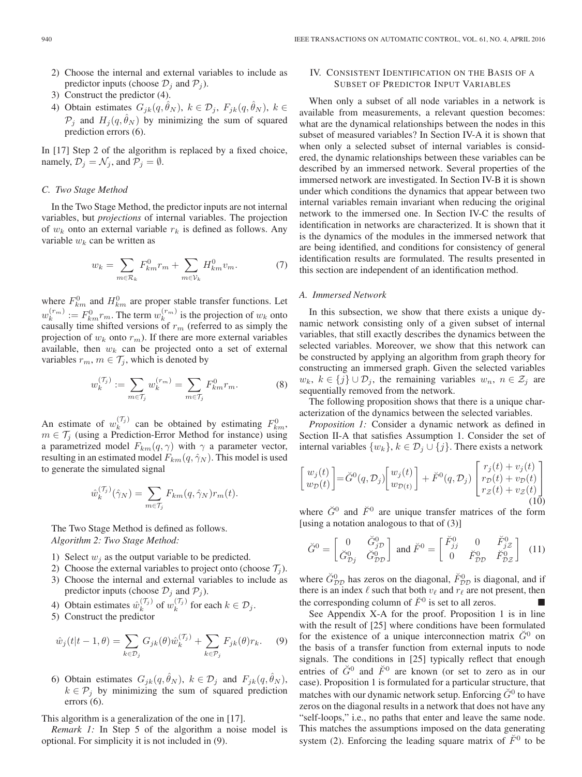- 2) Choose the internal and external variables to include as predictor inputs (choose  $\mathcal{D}_j$  and  $\mathcal{P}_j$ ).
- 3) Construct the predictor (4).
- 4) Obtain estimates  $G_{jk}(q, \hat{\theta}_N)$ ,  $k \in \mathcal{D}_j$ ,  $F_{jk}(q, \hat{\theta}_N)$ ,  $k \in$  $\mathcal{P}_i$  and  $H_i(q, \hat{\theta}_N)$  by minimizing the sum of squared prediction errors (6).

In [17] Step 2 of the algorithm is replaced by a fixed choice, namely,  $\mathcal{D}_j = \mathcal{N}_j$ , and  $\mathcal{P}_j = \emptyset$ .

### *C. Two Stage Method*

In the Two Stage Method, the predictor inputs are not internal variables, but *projections* of internal variables. The projection of  $w_k$  onto an external variable  $r_k$  is defined as follows. Any variable  $w_k$  can be written as

$$
w_k = \sum_{m \in \mathcal{R}_k} F_{km}^0 r_m + \sum_{m \in \mathcal{V}_k} H_{km}^0 v_m.
$$
 (7)

where  $F_{km}^0$  and  $H_{km}^0$  are proper stable transfer functions. Let  $w_k^{(r_m)} := F_{km}^0 r_m$ . The term  $w_k^{(r_m)}$  is the projection of  $w_k$  onto causally time shifted versions of  $r<sub>m</sub>$  (referred to as simply the projection of  $w_k$  onto  $r_m$ ). If there are more external variables available, then  $w_k$  can be projected onto a set of external variables  $r_m$ ,  $m \in \mathcal{T}_i$ , which is denoted by

$$
w_k^{(\mathcal{T}_j)} := \sum_{m \in \mathcal{T}_j} w_k^{(r_m)} = \sum_{m \in \mathcal{T}_j} F_{km}^0 r_m.
$$
 (8)

An estimate of  $w_k^{(\mathcal{T}_j)}$  can be obtained by estimating  $F_{km}^0$ ,  $m \in \mathcal{T}_j$  (using a Prediction-Error Method for instance) using a parametrized model  $F_{km}(q, \gamma)$  with  $\gamma$  a parameter vector, resulting in an estimated model  $F_{km}(q, \hat{\gamma}_N)$ . This model is used to generate the simulated signal

$$
\hat{w}_k^{(\mathcal{T}_j)}(\hat{\gamma}_N) = \sum_{m \in \mathcal{T}_j} F_{km}(q, \hat{\gamma}_N) r_m(t).
$$

The Two Stage Method is defined as follows. *Algorithm 2: Two Stage Method:*

- 1) Select  $w_i$  as the output variable to be predicted.
- 2) Choose the external variables to project onto (choose  $\mathcal{T}_i$ ).
- 3) Choose the internal and external variables to include as predictor inputs (choose  $\mathcal{D}_i$  and  $\mathcal{P}_i$ ).
- 4) Obtain estimates  $\hat{w}_k^{(\mathcal{T}_j)}$  of  $w_k^{(\mathcal{T}_j)}$  for each  $k \in \mathcal{D}_j$ .
- 5) Construct the predictor

$$
\hat{w}_j(t|t-1,\theta) = \sum_{k \in \mathcal{D}_j} G_{jk}(\theta) \hat{w}_k^{(\mathcal{T}_j)} + \sum_{k \in \mathcal{P}_j} F_{jk}(\theta) r_k.
$$
 (9)

6) Obtain estimates  $G_{jk}(q, \hat{\theta}_N)$ ,  $k \in \mathcal{D}_j$  and  $F_{jk}(q, \hat{\theta}_N)$ ,  $k \in \mathcal{P}_j$  by minimizing the sum of squared prediction errors (6).

This algorithm is a generalization of the one in [17].

*Remark 1:* In Step 5 of the algorithm a noise model is optional. For simplicity it is not included in (9).

# IV. CONSISTENT IDENTIFICATION ON THE BASIS OF A SUBSET OF PREDICTOR INPUT VARIABLES

When only a subset of all node variables in a network is available from measurements, a relevant question becomes: what are the dynamical relationships between the nodes in this subset of measured variables? In Section IV-A it is shown that when only a selected subset of internal variables is considered, the dynamic relationships between these variables can be described by an immersed network. Several properties of the immersed network are investigated. In Section IV-B it is shown under which conditions the dynamics that appear between two internal variables remain invariant when reducing the original network to the immersed one. In Section IV-C the results of identification in networks are characterized. It is shown that it is the dynamics of the modules in the immersed network that are being identified, and conditions for consistency of general identification results are formulated. The results presented in this section are independent of an identification method.

#### *A. Immersed Network*

In this subsection, we show that there exists a unique dynamic network consisting only of a given subset of internal variables, that still exactly describes the dynamics between the selected variables. Moreover, we show that this network can be constructed by applying an algorithm from graph theory for constructing an immersed graph. Given the selected variables  $w_k, k \in \{j\} \cup \mathcal{D}_j$ , the remaining variables  $w_n, n \in \mathcal{Z}_j$  are sequentially removed from the network.

The following proposition shows that there is a unique characterization of the dynamics between the selected variables.

*Proposition 1:* Consider a dynamic network as defined in Section II-A that satisfies Assumption 1. Consider the set of internal variables  $\{w_k\}, k \in \mathcal{D}_j \cup \{j\}$ . There exists a network

$$
\begin{bmatrix} w_j(t) \\ w_{\mathcal{D}}(t) \end{bmatrix} = \breve{G}^0(q, \mathcal{D}_j) \begin{bmatrix} w_j(t) \\ w_{\mathcal{D}(t)} \end{bmatrix} + \breve{F}^0(q, \mathcal{D}_j) \begin{bmatrix} r_j(t) + v_j(t) \\ r_{\mathcal{D}}(t) + v_{\mathcal{D}}(t) \\ r_{\mathcal{Z}}(t) + v_{\mathcal{Z}}(t) \end{bmatrix}
$$
(10)

where  $\check{G}^0$  and  $\check{F}^0$  are unique transfer matrices of the form [using a notation analogous to that of (3)]

$$
\breve{G}^0 = \begin{bmatrix} 0 & \breve{G}_{jD}^0 \\ \breve{G}_{Dj}^0 & \breve{G}_{DD}^0 \end{bmatrix} \text{ and } \breve{F}^0 = \begin{bmatrix} \breve{F}_{jj}^0 & 0 & \breve{F}_{jZ}^0 \\ 0 & \breve{F}_{DD}^0 & \breve{F}_{DZ}^0 \end{bmatrix} \tag{11}
$$

where  $\check{G}_{DD}^0$  has zeros on the diagonal,  $\check{F}_{DD}^0$  is diagonal, and if there is an index  $\ell$  such that both  $v_{\ell}$  and  $r_{\ell}$  are not present, then the corresponding column of  $\check{F}^0$  is set to all zeros.

See Appendix X-A for the proof. Proposition 1 is in line with the result of [25] where conditions have been formulated for the existence of a unique interconnection matrix  $\tilde{G}^0$  on the basis of a transfer function from external inputs to node signals. The conditions in [25] typically reflect that enough entries of  $\check{G}^0$  and  $\check{F}^0$  are known (or set to zero as in our case). Proposition 1 is formulated for a particular structure, that matches with our dynamic network setup. Enforcing  $\check{G}^0$  to have zeros on the diagonal results in a network that does not have any "self-loops," i.e., no paths that enter and leave the same node. This matches the assumptions imposed on the data generating system (2). Enforcing the leading square matrix of  $\check{F}^0$  to be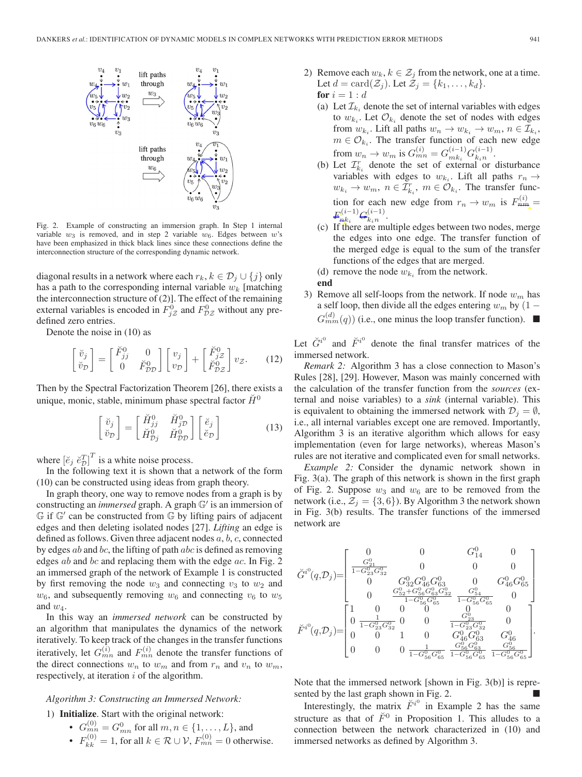

Fig. 2. Example of constructing an immersion graph. In Step 1 internal variable  $w_3$  is removed, and in step 2 variable  $w_6$ . Edges between w's have been emphasized in thick black lines since these connections define the interconnection structure of the corresponding dynamic network.

diagonal results in a network where each  $r_k, k \in \mathcal{D}_j \cup \{j\}$  only has a path to the corresponding internal variable  $w_k$  [matching the interconnection structure of (2)]. The effect of the remaining external variables is encoded in  $F_{jZ}^0$  and  $F_{\mathcal{D}Z}^0$  without any predefined zero entries.

Denote the noise in (10) as

$$
\begin{bmatrix} \check{v}_j \\ \check{v}_D \end{bmatrix} = \begin{bmatrix} \check{F}_{jj}^0 & 0 \\ 0 & \check{F}_{DD}^0 \end{bmatrix} \begin{bmatrix} v_j \\ v_D \end{bmatrix} + \begin{bmatrix} \check{F}_{jz}^0 \\ \check{F}_{Dz}^0 \end{bmatrix} v_z.
$$
 (12)

Then by the Spectral Factorization Theorem [26], there exists a unique, monic, stable, minimum phase spectral factor  $\check{H}^0$ 

$$
\begin{bmatrix}\n\check{v}_j \\
\check{v}_D\n\end{bmatrix} = \begin{bmatrix}\n\check{H}_{jj}^0 & \check{H}_{jD}^0 \\
\check{H}_{Dj}^0 & \check{H}_{DD}^0\n\end{bmatrix} \begin{bmatrix}\n\check{e}_j \\
\check{e}_D\n\end{bmatrix}
$$
\n(13)

where  $\left[\breve{e}_j \breve{e}^T_{\mathcal{D}}\right]^T$  is a white noise process.

In the following text it is shown that a network of the form (10) can be constructed using ideas from graph theory.

In graph theory, one way to remove nodes from a graph is by constructing an *immersed* graph. A graph  $\mathbb{G}'$  is an immersion of  $\mathbb G$  if  $\mathbb G'$  can be constructed from  $\mathbb G$  by lifting pairs of adjacent edges and then deleting isolated nodes [27]. *Lifting* an edge is defined as follows. Given three adjacent nodes  $a, b, c$ , connected by edges  $ab$  and  $bc$ , the lifting of path  $abc$  is defined as removing edges  $ab$  and  $bc$  and replacing them with the edge  $ac$ . In Fig. 2 an immersed graph of the network of Example 1 is constructed by first removing the node  $w_3$  and connecting  $v_3$  to  $w_2$  and  $w_6$ , and subsequently removing  $w_6$  and connecting  $v_6$  to  $w_5$ and  $w_4$ .

In this way an *immersed network* can be constructed by an algorithm that manipulates the dynamics of the network iteratively. To keep track of the changes in the transfer functions iteratively, let  $G_{mn}^{(i)}$  and  $F_{mn}^{(i)}$  denote the transfer functions of the direct connections  $w_n$  to  $w_m$  and from  $r_n$  and  $v_n$  to  $w_m$ , respectively, at iteration  $i$  of the algorithm.

#### *Algorithm 3: Constructing an Immersed Network:*

1) **Initialize**. Start with the original network:

- $G_{mn}^{(0)} = G_{mn}^0$  for all  $m, n \in \{1, ..., L\}$ , and
- $F_{kk}^{(0)} = 1$ , for all  $k \in \mathcal{R} \cup \mathcal{V}$ ,  $F_{mn}^{(0)} = 0$  otherwise.
- 2) Remove each  $w_k, k \in \mathcal{Z}_j$  from the network, one at a time. Let  $d = \text{card}(\mathcal{Z}_j)$ . Let  $\mathcal{Z}_j = \{k_1, \ldots, k_d\}.$ **for**  $i = 1:d$ 
	- (a) Let  $\mathcal{I}_{k_i}$  denote the set of internal variables with edges to  $w_{k_i}$ . Let  $\mathcal{O}_{k_i}$  denote the set of nodes with edges from  $w_{k_i}$ . Lift all paths  $w_n \to w_{k_i} \to w_m$ ,  $n \in \mathcal{I}_{k_i}$ ,  $m \in \mathcal{O}_{k_i}$ . The transfer function of each new edge from  $w_n \to w_m$  is  $G_{mn}^{(i)} = G_{mk_i}^{(i-1)} G_{k_in}^{(i-1)}$ .
	- (b) Let  $\mathcal{I}_{k_i}^r$  denote the set of external or disturbance variables with edges to  $w_{k_i}$ . Lift all paths  $r_n \rightarrow$  $w_{k_i} \to w_m$ ,  $n \in \mathcal{I}_{k_i}^r$ ,  $m \in \mathcal{O}_{k_i}$ . The transfer function for each new edge from  $r_n \to w_m$  is  $F_{nm}^{(i)}$  $F^{(i-1)}_{\mathbf{a} k_i} G^{(i-1)}_{k_i n}.$
	- (c) If there are multiple edges between two nodes, merge the edges into one edge. The transfer function of the merged edge is equal to the sum of the transfer functions of the edges that are merged.

(d) remove the node  $w_{k_i}$  from the network. **end**

3) Remove all self-loops from the network. If node  $w_m$  has a self loop, then divide all the edges entering  $w_m$  by  $(1 G_{mm}^{(d)}(q)$ ) (i.e., one minus the loop transfer function).  $\blacksquare$ 

Let  $\check{G}^{i^0}$  and  $\check{F}^{i^0}$  denote the final transfer matrices of the immersed network.

*Remark 2:* Algorithm 3 has a close connection to Mason's Rules [28], [29]. However, Mason was mainly concerned with the calculation of the transfer function from the *sources* (external and noise variables) to a *sink* (internal variable). This is equivalent to obtaining the immersed network with  $\mathcal{D}_i = \emptyset$ , i.e., all internal variables except one are removed. Importantly, Algorithm 3 is an iterative algorithm which allows for easy implementation (even for large networks), whereas Mason's rules are not iterative and complicated even for small networks.

*Example 2:* Consider the dynamic network shown in Fig. 3(a). The graph of this network is shown in the first graph of Fig. 2. Suppose  $w_3$  and  $w_6$  are to be removed from the network (i.e.,  $\mathcal{Z}_j = \{3, 6\}$ ). By Algorithm 3 the network shown in Fig. 3(b) results. The transfer functions of the immersed network are

$$
\label{eq:20} \check{G}^{i^0}\!(q,\!\mathcal{D}_j)\!\!=\!\!\left[\!\!\begin{array}{cccc} 0 & 0 & G^0_{14} & 0 \\ \frac{G^0_{21}}{1-G^0_{23}G^0_{32}} & 0 & 0 & 0 \\ 0 & G^0_{32}G^0_{46}G^0_{63} & 0 & G^0_{46}G^0_{65} \\ 0 & \frac{G^0_{52}+G^0_{56}G^0_{63}G^0_{32}}{1-G^0_{56}G^0_{65}} & \frac{G^0_{54}}{1-G^0_{56}G^0_{65}} & 0 \\ \hline \end{array}\!\!\right]
$$

Note that the immersed network [shown in Fig. 3(b)] is represented by the last graph shown in Fig. 2.

Interestingly, the matrix  $\check{F}^{i^0}$  in Example 2 has the same structure as that of  $\check{F}^0$  in Proposition 1. This alludes to a connection between the network characterized in (10) and immersed networks as defined by Algorithm 3.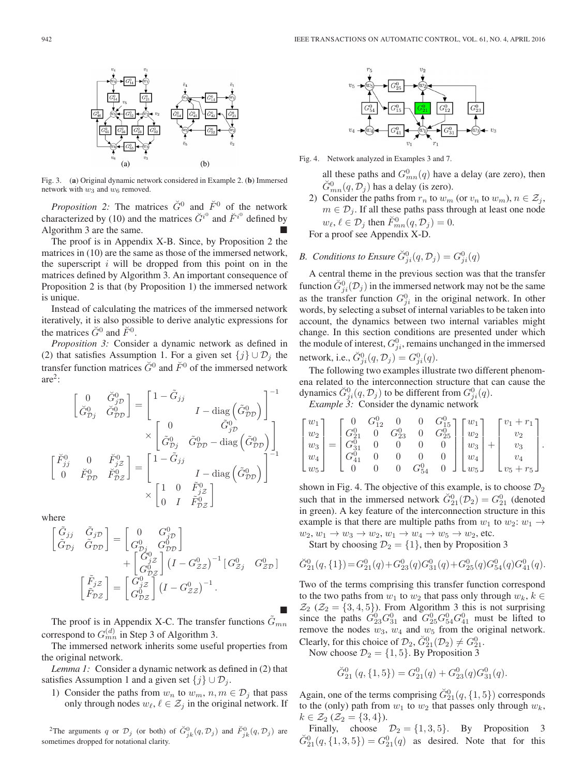

Fig. 3. (**a**) Original dynamic network considered in Example 2. (**b**) Immersed network with  $w_3$  and  $w_6$  removed.

*Proposition 2:* The matrices  $\check{G}^0$  and  $\check{F}^0$  of the network characterized by (10) and the matrices  $\check{G}^{i^0}$  and  $\check{F}^{i^0}$  defined by Algorithm 3 are the same.

The proof is in Appendix X-B. Since, by Proposition 2 the matrices in (10) are the same as those of the immersed network, the superscript  $i$  will be dropped from this point on in the matrices defined by Algorithm 3. An important consequence of Proposition 2 is that (by Proposition 1) the immersed network is unique.

Instead of calculating the matrices of the immersed network iteratively, it is also possible to derive analytic expressions for the matrices  $\check{G}^0$  and  $\check{F}^0$ .

*Proposition 3:* Consider a dynamic network as defined in (2) that satisfies Assumption 1. For a given set  $\{j\} \cup \mathcal{D}_j$  the transfer function matrices  $\check{G}^0$  and  $\check{F}^0$  of the immersed network  $are<sup>2</sup>$ :

$$
\begin{bmatrix}\n0 & \check{G}_{j\mathcal{D}}^{0} \\
\check{G}_{\mathcal{D}j}^{0} & \check{G}_{\mathcal{D}\mathcal{D}}^{0}\n\end{bmatrix} = \begin{bmatrix}\n1 - \tilde{G}_{jj} & & \\
 & I - \text{diag}\left(\tilde{G}_{\mathcal{D}\mathcal{D}}^{0}\right)\n\end{bmatrix}^{-1} \times \begin{bmatrix}\n0 & \tilde{G}_{j\mathcal{D}}^{0} \\
\tilde{G}_{\mathcal{D}j}^{0} & \tilde{G}_{\mathcal{D}\mathcal{D}}^{0} - \text{diag}\left(\tilde{G}_{\mathcal{D}\mathcal{D}}^{0}\right)\n\end{bmatrix}^{-1} \times \begin{bmatrix}\n\tilde{F}_{jj}^{0} & 0 & \tilde{F}_{j\mathcal{Z}}^{0} \\
0 & \tilde{F}_{\mathcal{D}\mathcal{D}}^{0} & \tilde{F}_{\mathcal{D}\mathcal{Z}}^{0}\n\end{bmatrix} = \begin{bmatrix}\n1 - \tilde{G}_{jj} & & \\
 & I - \text{diag}\left(\tilde{G}_{\mathcal{D}\mathcal{D}}^{0}\right)\n\end{bmatrix}^{-1} \times \begin{bmatrix}\n1 & 0 & \tilde{F}_{j\mathcal{Z}}^{0} \\
0 & I & \tilde{F}_{\mathcal{D}\mathcal{Z}}^{0}\n\end{bmatrix}
$$

where

$$
\begin{bmatrix}\n\tilde{G}_{jj} & \tilde{G}_{jD} \\
\tilde{G}_{Dj} & \tilde{G}_{DD}\n\end{bmatrix} =\n\begin{bmatrix}\n0 & G_{jD}^0 \\
G_{Dj}^0 & G_{DD}^0\n\end{bmatrix} +\n\begin{bmatrix}\nG_{jZ}^0 \\
G_{DZ}^0\n\end{bmatrix}\n\begin{bmatrix}\nI - G_{ZZ}^0\n\end{bmatrix}^{-1}\n\begin{bmatrix}\nG_{Zj}^0 & G_{ZD}^0\n\end{bmatrix} +\n\begin{bmatrix}\n\tilde{F}_{jZ} \\
\tilde{F}_{DZ}\n\end{bmatrix} =\n\begin{bmatrix}\nG_{jZ}^0 \\
G_{DZ}^0\n\end{bmatrix}\n(I - G_{ZZ}^0)^{-1}.
$$

The proof is in Appendix X-C. The transfer functions  $\hat{G}_{mn}$ correspond to  $G_{mn}^{(d)}$  in Step 3 of Algorithm 3.

The immersed network inherits some useful properties from the original network.

*Lemma 1:* Consider a dynamic network as defined in (2) that satisfies Assumption 1 and a given set  $\{j\} \cup \mathcal{D}_j$ .

1) Consider the paths from  $w_n$  to  $w_m$ ,  $n, m \in \mathcal{D}_j$  that pass only through nodes  $w_{\ell}, \ell \in \mathcal{Z}_j$  in the original network. If

<sup>2</sup>The arguments q or  $\mathcal{D}_j$  (or both) of  $\check{G}^0_{jk}(q, \mathcal{D}_j)$  and  $\check{F}^0_{jk}(q, \mathcal{D}_j)$  are sometimes dropped for notational clarity.



Fig. 4. Network analyzed in Examples 3 and 7.

all these paths and  $G_{mn}^0(q)$  have a delay (are zero), then  $\check{G}_{mn}^0(q, \mathcal{D}_j)$  has a delay (is zero).

2) Consider the paths from  $r_n$  to  $w_m$  (or  $v_n$  to  $w_m$ ),  $n \in \mathcal{Z}_j$ ,  $m \in \mathcal{D}_j$ . If all these paths pass through at least one node  $w_{\ell}, \ell \in \mathcal{D}_j$  then  $\check{F}^0_{mn}(q, \mathcal{D}_j) = 0$ .

For a proof see Appendix X-D.

# *B.* Conditions to Ensure  $\check{G}_{ji}^0(q, \mathcal{D}_j) = G_{ji}^0(q)$

A central theme in the previous section was that the transfer function  $\breve G_{ji}^0(\mathcal D_j)$  in the immersed network may not be the same as the transfer function  $G_{ji}^0$  in the original network. In other words, by selecting a subset of internal variables to be taken into account, the dynamics between two internal variables might change. In this section conditions are presented under which the module of interest,  $G_{ji}^0$ , remains unchanged in the immersed network, i.e.,  $\breve{G}_{ji}^0(q, \mathcal{D}_j) = G_{ji}^0(q)$ .

The following two examples illustrate two different phenomena related to the interconnection structure that can cause the dynamics  $\breve{G}_{ji}^0(q, \mathcal{D}_j)$  to be different from  $G_{ji}^0(q)$ .

*Example 3:* Consider the dynamic network

$$
\begin{bmatrix} w_1 \\ w_2 \\ w_3 \\ w_4 \\ w_5 \end{bmatrix} = \begin{bmatrix} 0 & G_{12}^0 & 0 & 0 & G_{15}^0 \\ G_{21}^0 & 0 & G_{23}^0 & 0 & G_{25}^0 \\ G_{31}^0 & 0 & 0 & 0 & 0 \\ G_{41}^0 & 0 & 0 & 0 & 0 \\ 0 & 0 & 0 & G_{54}^0 & 0 \end{bmatrix} \begin{bmatrix} w_1 \\ w_2 \\ w_3 \\ w_4 \\ w_5 \end{bmatrix} + \begin{bmatrix} v_1 + r_1 \\ v_2 \\ v_3 \\ v_4 \\ v_5 + r_5 \end{bmatrix}.
$$

shown in Fig. 4. The objective of this example, is to choose  $\mathcal{D}_2$ such that in the immersed network  $\check{G}_{21}^{0}(\mathcal{D}_2) = G_{21}^{0}$  (denoted in green). A key feature of the interconnection structure in this example is that there are multiple paths from  $w_1$  to  $w_2$ :  $w_1 \rightarrow$  $w_2, w_1 \rightarrow w_3 \rightarrow w_2, w_1 \rightarrow w_4 \rightarrow w_5 \rightarrow w_2$ , etc.

Start by choosing  $\mathcal{D}_2 = \{1\}$ , then by Proposition 3

$$
\check{G}_{21}^{0}(q,\lbrace 1 \rbrace)\!=\!G_{21}^{0}(q)\!+\!G_{23}^{0}(q)G_{31}^{0}(q)\!+\!G_{25}^{0}(q)G_{54}^{0}(q)G_{41}^{0}(q).
$$

Two of the terms comprising this transfer function correspond to the two paths from  $w_1$  to  $w_2$  that pass only through  $w_k, k \in$  $\mathcal{Z}_2$  ( $\mathcal{Z}_2 = \{3, 4, 5\}$ ). From Algorithm 3 this is not surprising since the paths  $G_{23}^0 G_{31}^0$  and  $G_{25}^0 G_{54}^0 G_{41}^0$  must be lifted to remove the nodes  $w_3$ ,  $w_4$  and  $w_5$  from the original network. Clearly, for this choice of  $\mathcal{D}_2$ ,  $\check{G}_{21}^0(\mathcal{D}_2) \neq G_{21}^0$ .

Now choose  $\mathcal{D}_2 = \{1, 5\}$ . By Proposition 3

$$
\check{G}_{21}^{0}(q, \{1, 5\}) = G_{21}^{0}(q) + G_{23}^{0}(q)G_{31}^{0}(q).
$$

Again, one of the terms comprising  $\check{G}_{21}^0(q, \{1, 5\})$  corresponds to the (only) path from  $w_1$  to  $w_2$  that passes only through  $w_k$ ,  $k \in \mathcal{Z}_2 \, (\mathcal{Z}_2 = \{3, 4\}).$ 

Finally, choose  $\mathcal{D}_2 = \{1, 3, 5\}$ . By Proposition 3  $\check{G}_{21}^{0}(q, \{1, 3, 5\}) = G_{21}^{0}(q)$  as desired. Note that for this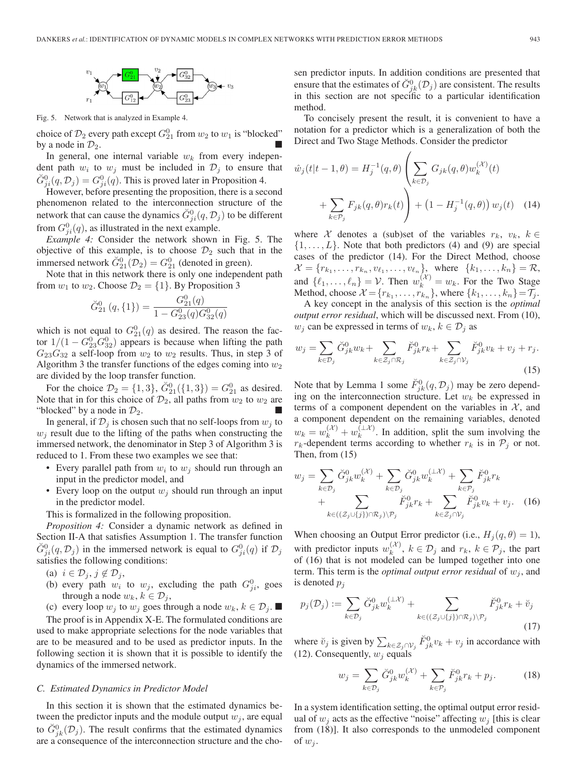

Fig. 5. Network that is analyzed in Example 4.

choice of  $\mathcal{D}_2$  every path except  $G_{21}^0$  from  $w_2$  to  $w_1$  is "blocked" by a node in  $\mathcal{D}_2$ .

In general, one internal variable  $w_k$  from every independent path  $w_i$  to  $w_j$  must be included in  $\mathcal{D}_j$  to ensure that  $\check{G}_{ji}^0(q, \mathcal{D}_j) = G_{ji}^0(q)$ . This is proved later in Proposition 4.

However, before presenting the proposition, there is a second phenomenon related to the interconnection structure of the network that can cause the dynamics  $\check{G}_{ji}^0(q, \mathcal{D}_j)$  to be different from  $G_{ji}^0(q)$ , as illustrated in the next example.

*Example 4:* Consider the network shown in Fig. 5. The objective of this example, is to choose  $\mathcal{D}_2$  such that in the immersed network  $\check{G}_{21}^{0}(\mathcal{D}_2) = G_{21}^{0}$  (denoted in green).

Note that in this network there is only one independent path from  $w_1$  to  $w_2$ . Choose  $\mathcal{D}_2 = \{1\}$ . By Proposition 3

$$
\check{G}_{21}^{0}\left(q,\left\{ 1\right\} \right)=\frac{G_{21}^{0}(q)}{1-G_{23}^{0}(q)G_{32}^{0}(q)}
$$

which is not equal to  $G_{21}^{0}(q)$  as desired. The reason the factor  $1/(1 - G_{23}^0 G_{32}^0)$  appears is because when lifting the path  $G_{23}G_{32}$  a self-loop from  $w_2$  to  $w_2$  results. Thus, in step 3 of Algorithm 3 the transfer functions of the edges coming into  $w_2$ are divided by the loop transfer function.

For the choice  $\mathcal{D}_2 = \{1, 3\}, \check{G}_{21}^0(\{1, 3\}) = G_{21}^0$  as desired. Note that in for this choice of  $\mathcal{D}_2$ , all paths from  $w_2$  to  $w_2$  are "blocked" by a node in  $\mathcal{D}_2$ .

In general, if  $\mathcal{D}_i$  is chosen such that no self-loops from  $w_i$  to  $w_i$  result due to the lifting of the paths when constructing the immersed network, the denominator in Step 3 of Algorithm 3 is reduced to 1. From these two examples we see that:

- Every parallel path from  $w_i$  to  $w_j$  should run through an input in the predictor model, and
- Every loop on the output  $w_j$  should run through an input in the predictor model.

This is formalized in the following proposition.

*Proposition 4:* Consider a dynamic network as defined in Section II-A that satisfies Assumption 1. The transfer function  $\check{G}_{ji}^0(q, \mathcal{D}_j)$  in the immersed network is equal to  $G_{ji}^0(q)$  if  $\mathcal{D}_j$ satisfies the following conditions:

- (a)  $i \in \mathcal{D}_i, j \notin \mathcal{D}_i$ ,
- (b) every path  $w_i$  to  $w_j$ , excluding the path  $G_{ji}^0$ , goes through a node  $w_k$ ,  $k \in \mathcal{D}_j$ ,
- (c) every loop  $w_j$  to  $w_j$  goes through a node  $w_k, k \in \mathcal{D}_j$ .

The proof is in Appendix X-E. The formulated conditions are used to make appropriate selections for the node variables that are to be measured and to be used as predictor inputs. In the following section it is shown that it is possible to identify the dynamics of the immersed network.

#### *C. Estimated Dynamics in Predictor Model*

In this section it is shown that the estimated dynamics between the predictor inputs and the module output  $w_j$ , are equal to  $\check{G}_{jk}^0(\mathcal{D}_j)$ . The result confirms that the estimated dynamics are a consequence of the interconnection structure and the chosen predictor inputs. In addition conditions are presented that ensure that the estimates of  $\check{G}_{jk}^0(\mathcal{D}_j)$  are consistent. The results in this section are not specific to a particular identification method.

To concisely present the result, it is convenient to have a notation for a predictor which is a generalization of both the Direct and Two Stage Methods. Consider the predictor

$$
\hat{w}_j(t|t-1,\theta) = H_j^{-1}(q,\theta) \left( \sum_{k \in \mathcal{D}_j} G_{jk}(q,\theta) w_k^{(\mathcal{X})}(t) + \sum_{k \in \mathcal{P}_j} F_{jk}(q,\theta) r_k(t) \right) + (1 - H_j^{-1}(q,\theta)) w_j(t) \quad (14)
$$

where X denotes a (sub)set of the variables  $r_k$ ,  $v_k$ ,  $k \in$  $\{1,\ldots,L\}$ . Note that both predictors (4) and (9) are special cases of the predictor (14). For the Direct Method, choose  $\mathcal{X} = \{r_{k_1}, \ldots, r_{k_n}, v_{\ell_1}, \ldots, v_{\ell_n}\}, \text{ where } \{k_1, \ldots, k_n\} = \mathcal{R},$ and  $\{\ell_1, \ldots, \ell_n\} = \mathcal{V}$ . Then  $w_k^{(\mathcal{X})} = w_k$ . For the Two Stage Method, choose  $\mathcal{X} = \{r_{k_1}, \ldots, r_{k_n}\}$ , where  $\{k_1, \ldots, k_n\} = \mathcal{T}_j$ .

A key concept in the analysis of this section is the *optimal output error residual*, which will be discussed next. From (10),  $w_j$  can be expressed in terms of  $w_k, k \in \mathcal{D}_j$  as

$$
w_j = \sum_{k \in \mathcal{D}_j} \check{G}_{jk}^0 w_k + \sum_{k \in \mathcal{Z}_j \cap \mathcal{R}_j} \check{F}_{jk}^0 r_k + \sum_{k \in \mathcal{Z}_j \cap \mathcal{V}_j} \check{F}_{jk}^0 v_k + v_j + r_j.
$$
\n(15)

Note that by Lemma 1 some  $\check{F}_{jk}^0(q, \mathcal{D}_j)$  may be zero depending on the interconnection structure. Let  $w_k$  be expressed in terms of a component dependent on the variables in  $X$ , and a component dependent on the remaining variables, denoted  $w_k = w_k^{(\mathcal{X})} + w_k^{(\mathcal{Y})}$ . In addition, split the sum involving the  $r_k$ -dependent terms according to whether  $r_k$  is in  $\mathcal{P}_j$  or not. Then, from (15)

$$
w_j = \sum_{k \in \mathcal{D}_j} \breve{G}_{jk}^0 w_k^{(\mathcal{X})} + \sum_{k \in \mathcal{D}_j} \breve{G}_{jk}^0 w_k^{(\mathcal{X})} + \sum_{k \in \mathcal{P}_j} \breve{F}_{jk}^0 r_k + \sum_{k \in (\mathcal{Z}_j \cup \{j\}) \cap \mathcal{R}_j \setminus \mathcal{P}_j} \breve{F}_{jk}^0 r_k + \sum_{k \in \mathcal{Z}_j \cap \mathcal{V}_j} \breve{F}_{jk}^0 v_k + v_j. \tag{16}
$$

When choosing an Output Error predictor (i.e.,  $H_i(q, \theta) = 1$ ), with predictor inputs  $w_k^{(\mathcal{X})}$ ,  $k \in \mathcal{D}_j$  and  $r_k$ ,  $k \in \mathcal{P}_j$ , the part of (16) that is not modeled can be lumped together into one term. This term is the *optimal output error residual* of  $w_j$ , and is denoted  $p_j$ 

$$
p_j(\mathcal{D}_j) := \sum_{k \in \mathcal{D}_j} \breve{G}_{jk}^0 w_k^{(\perp \mathcal{X})} + \sum_{k \in ((\mathcal{Z}_j \cup \{j\}) \cap \mathcal{R}_j) \setminus \mathcal{P}_j} \breve{F}_{jk}^0 r_k + \breve{v}_j
$$
\n(17)

where  $\check{v}_j$  is given by  $\sum_{k \in \mathcal{Z}_j \cap \mathcal{V}_j} \check{F}_{jk}^0 v_k + v_j$  in accordance with (12). Consequently,  $w_i$  equals

$$
w_j = \sum_{k \in \mathcal{D}_j} \check{G}_{jk}^0 w_k^{(\mathcal{X})} + \sum_{k \in \mathcal{P}_j} \check{F}_{jk}^0 r_k + p_j.
$$
 (18)

In a system identification setting, the optimal output error residual of  $w_i$  acts as the effective "noise" affecting  $w_i$  [this is clear from (18)]. It also corresponds to the unmodeled component of  $w_i$ .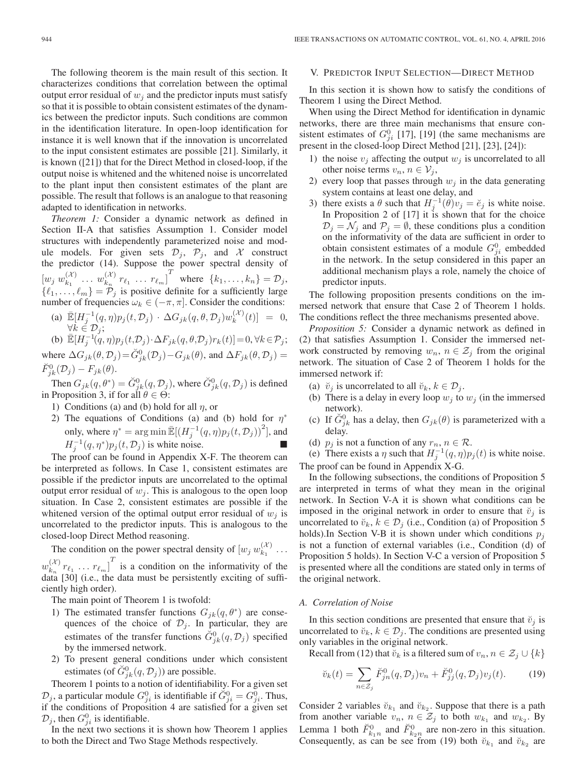The following theorem is the main result of this section. It characterizes conditions that correlation between the optimal output error residual of  $w_i$  and the predictor inputs must satisfy so that it is possible to obtain consistent estimates of the dynamics between the predictor inputs. Such conditions are common in the identification literature. In open-loop identification for instance it is well known that if the innovation is uncorrelated to the input consistent estimates are possible [21]. Similarly, it is known ([21]) that for the Direct Method in closed-loop, if the output noise is whitened and the whitened noise is uncorrelated to the plant input then consistent estimates of the plant are possible. The result that follows is an analogue to that reasoning adapted to identification in networks.

*Theorem 1:* Consider a dynamic network as defined in Section II-A that satisfies Assumption 1. Consider model structures with independently parameterized noise and module models. For given sets  $\mathcal{D}_j$ ,  $\mathcal{P}_j$ , and X construct the predictor (14). Suppose the power spectral density of  $\left[w_j \ w_{k_1}^{(\mathcal{X})} \dots w_{k_n}^{(\mathcal{X})} r_{\ell_1} \dots r_{\ell_m}\right]^T$  where  $\{k_1, \dots, k_n\} = \mathcal{D}_j$ ,  $\{\ell_1,\ldots,\ell_m\} = \mathcal{P}_j$  is positive definite for a sufficiently large number of frequencies  $\omega_k \in (-\pi, \pi]$ . Consider the conditions:

(a)  $\bar{\mathbb{E}}[H_j^{-1}(q,\eta)p_j(t,\mathcal{D}_j)\cdot\Delta G_{jk}(q,\theta,\mathcal{D}_j)w_k^{(\mathcal{X})}(t)] = 0,$  $\forall k \in {\cal D}_j;$ 

(b)  $\mathbb{E}[H_j^{-1}(q,\eta)p_j(t,\mathcal{D}_j)\cdot\Delta F_{jk}(q,\theta,\mathcal{D}_j)r_k(t)]=0, \forall k\in\mathcal{P}_j;$ where  $\Delta G_{jk}(\theta, \mathcal{D}_j) = \breve{G}^0_{jk}(\mathcal{D}_j) - G_{jk}(\theta)$ , and  $\Delta F_{jk}(\theta, \mathcal{D}_j) =$  $\breve{F}_{jk}^{0}(\mathcal{D}_{j})-F_{jk}(\theta).$ 

Then  $G_{jk}(q, \theta^*) = \breve{G}^0_{jk}(q, \mathcal{D}_j)$ , where  $\breve{G}^0_{jk}(q, \mathcal{D}_j)$  is defined in Proposition 3, if for all  $\theta \in \Theta$ :

- 1) Conditions (a) and (b) hold for all  $\eta$ , or
- 2) The equations of Conditions (a) and (b) hold for  $\eta^*$ only, where  $\eta^* = \argmin \mathbb{\bar{E}}[(H_j^{-1}(q,\eta) p_j(t, \mathcal{D}_j))^2]$ , and  $H_j^{-1}(q, \eta^*)p_j(t, \mathcal{D}_j)$  is white noise.

The proof can be found in Appendix X-F. The theorem can be interpreted as follows. In Case 1, consistent estimates are possible if the predictor inputs are uncorrelated to the optimal output error residual of  $w_j$ . This is analogous to the open loop situation. In Case 2, consistent estimates are possible if the whitened version of the optimal output error residual of  $w_i$  is uncorrelated to the predictor inputs. This is analogous to the closed-loop Direct Method reasoning.

The condition on the power spectral density of  $[w_j w_{k_1}^{(\mathcal{X})} \dots]$  $w_{k_n}^{(\mathcal{X})} r_{\ell_1} \dots r_{\ell_m}$ <sup>T</sup> is a condition on the informativity of the

data [30] (i.e., the data must be persistently exciting of sufficiently high order).

The main point of Theorem 1 is twofold:

- 1) The estimated transfer functions  $G_{ik}(q, \theta^*)$  are consequences of the choice of  $\mathcal{D}_j$ . In particular, they are estimates of the transfer functions  $\check{G}^0_{jk}(q, \mathcal{D}_j)$  specified by the immersed network.
- 2) To present general conditions under which consistent estimates (of  $\check{G}^0_{jk}(q, \mathcal{D}_j)$ ) are possible.

Theorem 1 points to a notion of identifiability. For a given set  $\mathcal{D}_j$ , a particular module  $G_{ji}^0$  is identifiable if  $\breve{G}_{ji}^0 = G_{ji}^0$ . Thus, if the conditions of Proposition 4 are satisfied for a given set  $\mathcal{D}_j$ , then  $G_{ji}^0$  is identifiable.

In the next two sections it is shown how Theorem 1 applies to both the Direct and Two Stage Methods respectively.

#### V. PREDICTOR INPUT SELECTION—DIRECT METHOD

In this section it is shown how to satisfy the conditions of Theorem 1 using the Direct Method.

When using the Direct Method for identification in dynamic networks, there are three main mechanisms that ensure consistent estimates of  $G_{ji}^0$  [17], [19] (the same mechanisms are present in the closed-loop Direct Method [21], [23], [24]):

- 1) the noise  $v_j$  affecting the output  $w_j$  is uncorrelated to all other noise terms  $v_n$ ,  $n \in V_j$ ,
- 2) every loop that passes through  $w_j$  in the data generating system contains at least one delay, and
- 3) there exists a  $\theta$  such that  $H_j^{-1}(\theta)v_j = \breve{e}_j$  is white noise. In Proposition 2 of [17] it is shown that for the choice  $\mathcal{D}_j = \mathcal{N}_j$  and  $\mathcal{P}_j = \emptyset$ , these conditions plus a condition on the informativity of the data are sufficient in order to obtain consistent estimates of a module  $G_{ji}^0$  embedded in the network. In the setup considered in this paper an additional mechanism plays a role, namely the choice of predictor inputs.

The following proposition presents conditions on the immersed network that ensure that Case 2 of Theorem 1 holds. The conditions reflect the three mechanisms presented above.

*Proposition 5:* Consider a dynamic network as defined in (2) that satisfies Assumption 1. Consider the immersed network constructed by removing  $w_n$ ,  $n \in \mathcal{Z}_i$  from the original network. The situation of Case 2 of Theorem 1 holds for the immersed network if:

- (a)  $\check{v}_j$  is uncorrelated to all  $\check{v}_k, k \in \mathcal{D}_j$ .
- (b) There is a delay in every loop  $w_i$  to  $w_j$  (in the immersed network).
- (c) If  $\check{G}_{jk}^0$  has a delay, then  $G_{jk}(\theta)$  is parameterized with a delay.
- (d)  $p_j$  is not a function of any  $r_n, n \in \mathcal{R}$ .

(e) There exists a  $\eta$  such that  $H_j^{-1}(q, \eta)p_j(t)$  is white noise. The proof can be found in Appendix X-G.

In the following subsections, the conditions of Proposition 5 are interpreted in terms of what they mean in the original network. In Section V-A it is shown what conditions can be imposed in the original network in order to ensure that  $\breve{v}_j$  is uncorrelated to  $\breve{v}_k, k \in \mathcal{D}_i$  (i.e., Condition (a) of Proposition 5 holds).In Section V-B it is shown under which conditions  $p_i$ is not a function of external variables (i.e., Condition (d) of Proposition 5 holds). In Section V-C a version of Proposition 5 is presented where all the conditions are stated only in terms of the original network.

#### *A. Correlation of Noise*

In this section conditions are presented that ensure that  $\breve{v}_i$  is uncorrelated to  $\breve{v}_k, k \in \mathcal{D}_j$ . The conditions are presented using only variables in the original network.

Recall from (12) that  $\breve{v}_k$  is a filtered sum of  $v_n, n \in \mathcal{Z}_i \cup \{k\}$ 

$$
\breve{v}_k(t) = \sum_{n \in \mathcal{Z}_j} \breve{F}_{jn}^0(q, \mathcal{D}_j)v_n + \breve{F}_{jj}^0(q, \mathcal{D}_j)v_j(t).
$$
 (19)

Consider 2 variables  $\breve{v}_{k_1}$  and  $\breve{v}_{k_2}$ . Suppose that there is a path from another variable  $v_n$ ,  $n \in \mathcal{Z}_j$  to both  $w_{k_1}$  and  $w_{k_2}$ . By Lemma 1 both  $\check{F}_{k_1n}^0$  and  $\check{F}_{k_2n}^0$  are non-zero in this situation. Consequently, as can be see from (19) both  $\breve{v}_{k_1}$  and  $\breve{v}_{k_2}$  are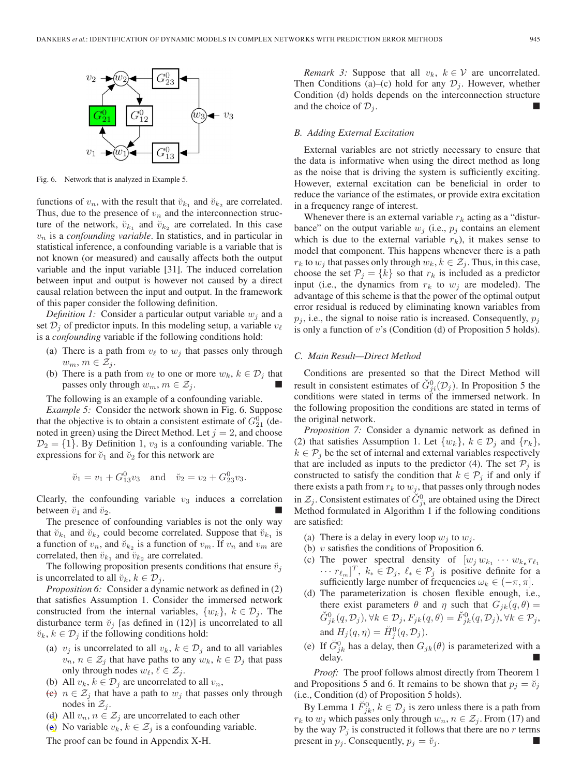

Fig. 6. Network that is analyzed in Example 5.

functions of  $v_n$ , with the result that  $\breve{v}_{k_1}$  and  $\breve{v}_{k_2}$  are correlated. Thus, due to the presence of  $v_n$  and the interconnection structure of the network,  $\breve{v}_{k_1}$  and  $\breve{v}_{k_2}$  are correlated. In this case  $v_n$  is a *confounding variable*. In statistics, and in particular in statistical inference, a confounding variable is a variable that is not known (or measured) and causally affects both the output variable and the input variable [31]. The induced correlation between input and output is however not caused by a direct causal relation between the input and output. In the framework of this paper consider the following definition.

*Definition 1:* Consider a particular output variable  $w_i$  and a set  $\mathcal{D}_i$  of predictor inputs. In this modeling setup, a variable  $v_\ell$ is a *confounding* variable if the following conditions hold:

- (a) There is a path from  $v_{\ell}$  to  $w_j$  that passes only through  $w_m, m \in \mathcal{Z}_j$ .
- (b) There is a path from  $v_{\ell}$  to one or more  $w_k, k \in \mathcal{D}_j$  that passes only through  $w_m$ ,  $m \in \mathcal{Z}_i$ .

The following is an example of a confounding variable.

*Example 5:* Consider the network shown in Fig. 6. Suppose that the objective is to obtain a consistent estimate of  $G_{21}^0$  (denoted in green) using the Direct Method. Let  $j = 2$ , and choose  $\mathcal{D}_2 = \{1\}$ . By Definition 1,  $v_3$  is a confounding variable. The expressions for  $\check{v}_1$  and  $\check{v}_2$  for this network are

$$
\breve{v}_1 = v_1 + G_{13}^0 v_3
$$
 and  $\breve{v}_2 = v_2 + G_{23}^0 v_3$ .

Clearly, the confounding variable  $v_3$  induces a correlation between  $\breve{v}_1$  and  $\breve{v}_2$ .

The presence of confounding variables is not the only way that  $\breve{v}_{k_1}$  and  $\breve{v}_{k_2}$  could become correlated. Suppose that  $\breve{v}_{k_1}$  is a function of  $v_n$ , and  $\breve{v}_{k_2}$  is a function of  $v_m$ . If  $v_n$  and  $v_m$  are correlated, then  $\breve{v}_{k_1}$  and  $\breve{v}_{k_2}$  are correlated.

The following proposition presents conditions that ensure  $\breve{v}_i$ is uncorrelated to all  $\breve{v}_k, k \in \mathcal{D}_j$ .

*Proposition 6:* Consider a dynamic network as defined in (2) that satisfies Assumption 1. Consider the immersed network constructed from the internal variables,  $\{w_k\}$ ,  $k \in \mathcal{D}_i$ . The disturbance term  $\check{v}_i$  [as defined in (12)] is uncorrelated to all  $\breve{v}_k, k \in \mathcal{D}_j$  if the following conditions hold:

- (a)  $v_j$  is uncorrelated to all  $v_k$ ,  $k \in \mathcal{D}_j$  and to all variables  $v_n, n \in \mathcal{Z}_i$  that have paths to any  $w_k, k \in \mathcal{D}_i$  that pass only through nodes  $w_{\ell}, \ell \in \mathcal{Z}_j$ .
- (b) All  $v_k, k \in \mathcal{D}_j$  are uncorrelated to all  $v_n$ ,
- (e)  $n \in \mathcal{Z}_j$  that have a path to  $w_j$  that passes only through nodes in  $\mathcal{Z}_j$ .
- (d) All  $v_n, n \in \mathcal{Z}_j$  are uncorrelated to each other
- (e) No variable  $v_k, k \in \mathcal{Z}_j$  is a confounding variable.

The proof can be found in Appendix X-H.

*Remark 3:* Suppose that all  $v_k$ ,  $k \in V$  are uncorrelated. Then Conditions (a)–(c) hold for any  $\mathcal{D}_j$ . However, whether Condition (d) holds depends on the interconnection structure and the choice of  $\mathcal{D}_j$ .

#### *B. Adding External Excitation*

External variables are not strictly necessary to ensure that the data is informative when using the direct method as long as the noise that is driving the system is sufficiently exciting. However, external excitation can be beneficial in order to reduce the variance of the estimates, or provide extra excitation in a frequency range of interest.

Whenever there is an external variable  $r_k$  acting as a "disturbance" on the output variable  $w_j$  (i.e.,  $p_j$  contains an element which is due to the external variable  $r_k$ ), it makes sense to model that component. This happens whenever there is a path  $r_k$  to  $w_j$  that passes only through  $w_k, k \in \mathcal{Z}_j$ . Thus, in this case, choose the set  $\mathcal{P}_j = \{k\}$  so that  $r_k$  is included as a predictor input (i.e., the dynamics from  $r_k$  to  $w_j$  are modeled). The advantage of this scheme is that the power of the optimal output error residual is reduced by eliminating known variables from  $p_i$ , i.e., the signal to noise ratio is increased. Consequently,  $p_i$ is only a function of  $v$ 's (Condition (d) of Proposition 5 holds).

### *C. Main Result—Direct Method*

Conditions are presented so that the Direct Method will result in consistent estimates of  $\check{G}_{ji}^0(\mathcal{D}_j)$ . In Proposition 5 the conditions were stated in terms of the immersed network. In the following proposition the conditions are stated in terms of the original network.

*Proposition 7:* Consider a dynamic network as defined in (2) that satisfies Assumption 1. Let  $\{w_k\}$ ,  $k \in \mathcal{D}_j$  and  $\{r_k\}$ ,  $k \in \mathcal{P}_j$  be the set of internal and external variables respectively that are included as inputs to the predictor (4). The set  $P_j$  is constructed to satisfy the condition that  $k \in \mathcal{P}_j$  if and only if there exists a path from  $r_k$  to  $w_j$ , that passes only through nodes in  $\mathcal{Z}_j$ . Consistent estimates of  $\check{G}_{ji}^0$  are obtained using the Direct Method formulated in Algorithm 1 if the following conditions are satisfied:

- (a) There is a delay in every loop  $w_i$  to  $w_i$ .
- (b) v satisfies the conditions of Proposition 6.
- (c) The power spectral density of  $[w_j w_{k_1} \cdots w_{k_n} r_{\ell_1}]$  $\cdots r_{\ell_m}$ ]<sup>T</sup>,  $k_* \in \mathcal{D}_j$ ,  $\ell_* \in \mathcal{P}_j$  is positive definite for a sufficiently large number of frequencies  $\omega_k \in (-\pi, \pi]$ .
- (d) The parameterization is chosen flexible enough, i.e., there exist parameters  $\theta$  and  $\eta$  such that  $G_{ik}(q, \theta) =$  $\check{G}_{jk}^{0}(q, \mathcal{D}_{j}), \forall k \in \mathcal{D}_{j}, F_{jk}(q, \theta) = \check{F}_{jk}^{0}(q, \mathcal{D}_{j}), \forall k \in \mathcal{P}_{j},$ and  $H_j(q, \eta) = \check{H}_j^0(q, \mathcal{D}_j)$ .
- (e) If  $\check{G}_{jk}^0$  has a delay, then  $G_{jk}(\theta)$  is parameterized with a delay.

*Proof:* The proof follows almost directly from Theorem 1 and Propositions 5 and 6. It remains to be shown that  $p_j = \check{v}_j$ (i.e., Condition (d) of Proposition 5 holds).

By Lemma 1  $\check{F}_{jk}^0$ ,  $k \in \mathcal{D}_j$  is zero unless there is a path from  $r_k$  to  $w_j$  which passes only through  $w_n$ ,  $n \in \mathcal{Z}_j$ . From (17) and by the way  $P_j$  is constructed it follows that there are no r terms present in  $p_i$ . Consequently,  $p_i = \breve{v}_i$ .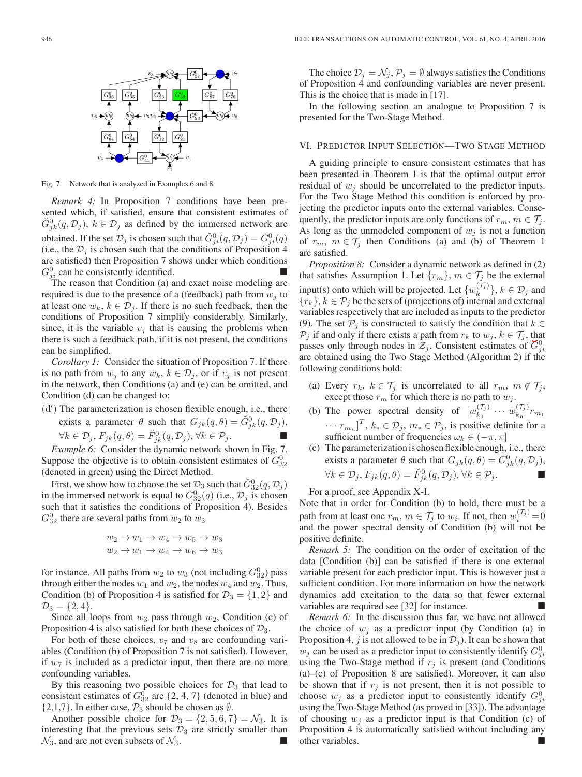

Fig. 7. Network that is analyzed in Examples 6 and 8.

*Remark 4:* In Proposition 7 conditions have been presented which, if satisfied, ensure that consistent estimates of  $\check{G}_{jk}^0(q, \mathcal{D}_j)$ ,  $k \in \mathcal{D}_j$  as defined by the immersed network are obtained. If the set  $\mathcal{D}_j$  is chosen such that  $\check{G}_{ji}^0(q, \mathcal{D}_j) = G_{ji}^0(q)$ (i.e., the  $\mathcal{D}_i$  is chosen such that the conditions of Proposition 4 are satisfied) then Proposition 7 shows under which conditions  $G_{ji}^0$  can be consistently identified.

The reason that Condition (a) and exact noise modeling are required is due to the presence of a (feedback) path from  $w_i$  to at least one  $w_k$ ,  $k \in \mathcal{D}_j$ . If there is no such feedback, then the conditions of Proposition 7 simplify considerably. Similarly, since, it is the variable  $v_i$  that is causing the problems when there is such a feedback path, if it is not present, the conditions can be simplified.

*Corollary 1:* Consider the situation of Proposition 7. If there is no path from  $w_j$  to any  $w_k$ ,  $k \in \mathcal{D}_j$ , or if  $v_j$  is not present in the network, then Conditions (a) and (e) can be omitted, and Condition (d) can be changed to:

(d') The parameterization is chosen flexible enough, i.e., there exists a parameter  $\theta$  such that  $G_{jk}(q, \theta) = \check{G}_{jk}^0(q, \mathcal{D}_j)$ ,  $\forall k \in \mathcal{D}_j, F_{jk}(q, \theta) = \check{F}_{jk}^0(q, \mathcal{D}_j), \forall k \in \mathcal{P}_j.$ 

*Example 6:* Consider the dynamic network shown in Fig. 7. Suppose the objective is to obtain consistent estimates of  $G_{32}^0$ (denoted in green) using the Direct Method.

First, we show how to choose the set  $\mathcal{D}_3$  such that  $\check{G}_{32}^0(q,\mathcal{D}_j)$ in the immersed network is equal to  $G_{32}^0(q)$  (i.e.,  $\mathcal{D}_j$  is chosen such that it satisfies the conditions of Proposition 4). Besides  $G_{32}^0$  there are several paths from  $w_2$  to  $w_3$ 

$$
w_2 \to w_1 \to w_4 \to w_5 \to w_3
$$
  

$$
w_2 \to w_1 \to w_4 \to w_6 \to w_3
$$

for instance. All paths from  $w_2$  to  $w_3$  (not including  $G_{32}^0$ ) pass through either the nodes  $w_1$  and  $w_2$ , the nodes  $w_4$  and  $w_2$ . Thus, Condition (b) of Proposition 4 is satisfied for  $\mathcal{D}_3 = \{1, 2\}$  and  $\mathcal{D}_3 = \{2, 4\}.$ 

Since all loops from  $w_3$  pass through  $w_2$ , Condition (c) of Proposition 4 is also satisfied for both these choices of  $\mathcal{D}_3$ .

For both of these choices,  $v_7$  and  $v_8$  are confounding variables (Condition (b) of Proposition 7 is not satisfied). However, if  $w_7$  is included as a predictor input, then there are no more confounding variables.

By this reasoning two possible choices for  $\mathcal{D}_3$  that lead to consistent estimates of  $G_{32}^0$  are {2, 4, 7} (denoted in blue) and  $\{2,1,7\}$ . In either case,  $\mathcal{P}_3$  should be chosen as  $\emptyset$ .

Another possible choice for  $\mathcal{D}_3 = \{2, 5, 6, 7\} = \mathcal{N}_3$ . It is interesting that the previous sets  $\mathcal{D}_3$  are strictly smaller than  $\mathcal{N}_3$ , and are not even subsets of  $\mathcal{N}_3$ .

The choice  $\mathcal{D}_j = \mathcal{N}_j$ ,  $\mathcal{P}_j = \emptyset$  always satisfies the Conditions of Proposition 4 and confounding variables are never present. This is the choice that is made in [17].

In the following section an analogue to Proposition 7 is presented for the Two-Stage Method.

#### VI. PREDICTOR INPUT SELECTION—TWO STAGE METHOD

A guiding principle to ensure consistent estimates that has been presented in Theorem 1 is that the optimal output error residual of  $w_i$  should be uncorrelated to the predictor inputs. For the Two Stage Method this condition is enforced by projecting the predictor inputs onto the external variables. Consequently, the predictor inputs are only functions of  $r_m$ ,  $m \in \mathcal{T}_i$ . As long as the unmodeled component of  $w_j$  is not a function of  $r_m$ ,  $m \in \mathcal{T}_j$  then Conditions (a) and (b) of Theorem 1 are satisfied.

*Proposition 8:* Consider a dynamic network as defined in (2) that satisfies Assumption 1. Let  $\{r_m\}$ ,  $m \in \mathcal{T}_i$  be the external input(s) onto which will be projected. Let  $\{w_k^{(\mathcal{T}_j)}\}, k \in \mathcal{D}_j$  and  ${r_k}, k \in \mathcal{P}_j$  be the sets of (projections of) internal and external variables respectively that are included as inputs to the predictor (9). The set  $\mathcal{P}_j$  is constructed to satisfy the condition that  $k \in \mathcal{P}_j$  $P_j$  if and only if there exists a path from  $r_k$  to  $w_j, k \in \mathcal{T}_j$ , that passes only through nodes in  $\mathcal{Z}_j$ . Consistent estimates of  $\mathbf{C}_{ji}^0$ are obtained using the Two Stage Method (Algorithm 2) if the following conditions hold:

- (a) Every  $r_k$ ,  $k \in \mathcal{T}_j$  is uncorrelated to all  $r_m$ ,  $m \notin \mathcal{T}_j$ , except those  $r_m$  for which there is no path to  $w_j$ .
- (b) The power spectral density of  $[w_{k_1}^{(\mathcal{T}_j)} \cdots w_{k_n}^{(\mathcal{T}_j)} r_{m_1}]$  $\cdots r_{m_n}$ ]<sup>T</sup>,  $k_* \in \mathcal{D}_j$ ,  $m_* \in \mathcal{P}_j$ , is positive definite for a sufficient number of frequencies  $\omega_k \in (-\pi, \pi]$
- (c) The parameterization is chosen flexible enough, i.e., there exists a parameter  $\theta$  such that  $G_{jk}(q, \theta) = \check{G}_{jk}^0(q, \mathcal{D}_j)$ ,  $\forall k \in \mathcal{D}_j$ ,  $F_{jk}(q, \theta) = \check{F}_{jk}^0(q, \mathcal{D}_j)$ ,  $\forall k \in \mathcal{P}_j$ .

For a proof, see Appendix X-I.

Note that in order for Condition (b) to hold, there must be a path from at least one  $r_m$ ,  $m \in \mathcal{T}_j$  to  $w_i$ . If not, then  $w_i^{(\mathcal{T}_j)} = 0$ and the power spectral density of Condition (b) will not be positive definite.

*Remark 5:* The condition on the order of excitation of the data [Condition (b)] can be satisfied if there is one external variable present for each predictor input. This is however just a sufficient condition. For more information on how the network dynamics add excitation to the data so that fewer external variables are required see [32] for instance.

*Remark 6:* In the discussion thus far, we have not allowed the choice of  $w_i$  as a predictor input (by Condition (a) in Proposition 4, j is not allowed to be in  $\mathcal{D}_j$ ). It can be shown that  $w_j$  can be used as a predictor input to consistently identify  $G_{ji}^0$ using the Two-Stage method if  $r_j$  is present (and Conditions (a)–(c) of Proposition 8 are satisfied). Moreover, it can also be shown that if  $r_j$  is not present, then it is not possible to choose  $w_j$  as a predictor input to consistently identify  $G_{ji}^0$ using the Two-Stage Method (as proved in [33]). The advantage of choosing  $w_i$  as a predictor input is that Condition (c) of Proposition 4 is automatically satisfied without including any other variables. -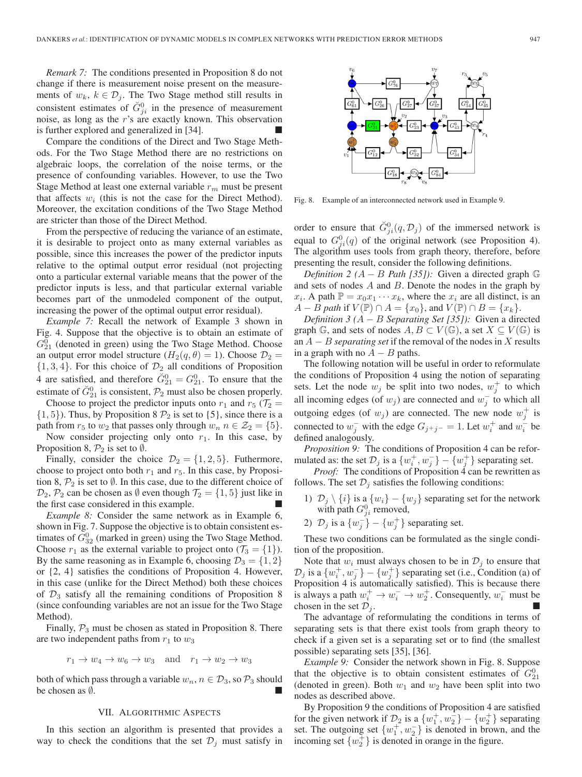*Remark 7:* The conditions presented in Proposition 8 do not change if there is measurement noise present on the measurements of  $w_k$ ,  $k \in \mathcal{D}_i$ . The Two Stage method still results in consistent estimates of  $\check{G}_{ji}^0$  in the presence of measurement noise, as long as the r's are exactly known. This observation is further explored and generalized in [34].

Compare the conditions of the Direct and Two Stage Methods. For the Two Stage Method there are no restrictions on algebraic loops, the correlation of the noise terms, or the presence of confounding variables. However, to use the Two Stage Method at least one external variable  $r_m$  must be present that affects  $w_i$  (this is not the case for the Direct Method). Moreover, the excitation conditions of the Two Stage Method are stricter than those of the Direct Method.

From the perspective of reducing the variance of an estimate, it is desirable to project onto as many external variables as possible, since this increases the power of the predictor inputs relative to the optimal output error residual (not projecting onto a particular external variable means that the power of the predictor inputs is less, and that particular external variable becomes part of the unmodeled component of the output, increasing the power of the optimal output error residual).

*Example 7:* Recall the network of Example 3 shown in Fig. 4. Suppose that the objective is to obtain an estimate of  $G_{21}^0$  (denoted in green) using the Two Stage Method. Choose an output error model structure  $(H_2(q, \theta) = 1)$ . Choose  $\mathcal{D}_2$  =  $\{1, 3, 4\}$ . For this choice of  $\mathcal{D}_2$  all conditions of Proposition 4 are satisfied, and therefore  $\check{G}_{21}^0 = G_{21}^0$ . To ensure that the estimate of  $\check{G}_{21}^0$  is consistent,  $\mathcal{P}_2$  must also be chosen properly.

Choose to project the predictor inputs onto  $r_1$  and  $r_5$  ( $\mathcal{T}_2$  =  $\{1, 5\}$ ). Thus, by Proposition 8  $\mathcal{P}_2$  is set to  $\{5\}$ , since there is a path from  $r_5$  to  $w_2$  that passes only through  $w_n$   $n \in \mathcal{Z}_2 = \{5\}.$ 

Now consider projecting only onto  $r_1$ . In this case, by Proposition 8,  $\mathcal{P}_2$  is set to  $\emptyset$ . Finally, consider the choice  $\mathcal{D}_2 = \{1, 2, 5\}$ . Futhermore,

choose to project onto both  $r_1$  and  $r_5$ . In this case, by Proposition 8,  $\mathcal{P}_2$  is set to  $\emptyset$ . In this case, due to the different choice of  $\mathcal{D}_2$ ,  $\mathcal{P}_2$  can be chosen as  $\emptyset$  even though  $\mathcal{T}_2 = \{1, 5\}$  just like in the first case considered in this example. -

*Example 8:* Consider the same network as in Example 6, shown in Fig. 7. Suppose the objective is to obtain consistent estimates of  $G_{32}^0$  (marked in green) using the Two Stage Method. Choose  $r_1$  as the external variable to project onto  $(\mathcal{T}_3 = \{1\})$ . By the same reasoning as in Example 6, choosing  $\mathcal{D}_3 = \{1, 2\}$ or {2, 4} satisfies the conditions of Proposition 4. However, in this case (unlike for the Direct Method) both these choices of  $\mathcal{D}_3$  satisfy all the remaining conditions of Proposition 8 (since confounding variables are not an issue for the Two Stage Method).

Finally,  $P_3$  must be chosen as stated in Proposition 8. There are two independent paths from  $r_1$  to  $w_3$ 

$$
r_1 \rightarrow w_4 \rightarrow w_6 \rightarrow w_3
$$
 and  $r_1 \rightarrow w_2 \rightarrow w_3$ 

both of which pass through a variable  $w_n$ ,  $n \in \mathcal{D}_3$ , so  $\mathcal{P}_3$  should be chosen as  $\emptyset$ .

# VII. ALGORITHMIC ASPECTS

In this section an algorithm is presented that provides a way to check the conditions that the set  $\mathcal{D}_j$  must satisfy in



Fig. 8. Example of an interconnected network used in Example 9.

order to ensure that  $\check{G}_{ji}^0(q, \mathcal{D}_j)$  of the immersed network is equal to  $G_{ji}^0(q)$  of the original network (see Proposition 4). The algorithm uses tools from graph theory, therefore, before presenting the result, consider the following definitions.

*Definition 2 (A − B Path [35]):* Given a directed graph  $\mathbb{G}$ and sets of nodes  $A$  and  $B$ . Denote the nodes in the graph by  $x_i$ . A path  $\mathbb{P} = x_0 x_1 \cdots x_k$ , where the  $x_i$  are all distinct, is an  $A - B$  *path* if  $V(\mathbb{P}) \cap A = \{x_0\}$ , and  $V(\mathbb{P}) \cap B = \{x_k\}.$ 

*Definition 3 (*A − B *Separating Set [35]):* Given a directed graph  $\mathbb{G}$ , and sets of nodes  $A, B \subset V(\mathbb{G})$ , a set  $X \subseteq V(\mathbb{G})$  is an A − B *separating set* if the removal of the nodes in X results in a graph with no  $A - B$  paths.

The following notation will be useful in order to reformulate the conditions of Proposition 4 using the notion of separating sets. Let the node  $w_j$  be split into two nodes,  $w_j^+$  to which all incoming edges (of  $w_j$ ) are connected and  $w_j^-$  to which all outgoing edges (of  $w_j$ ) are connected. The new node  $w_j^+$  is connected to  $w_j^-$  with the edge  $G_{j^+j^-} = 1$ . Let  $w_i^+$  and  $w_i^-$  be defined analogously.

*Proposition 9:* The conditions of Proposition 4 can be reformulated as: the set  $\mathcal{D}_j$  is a  $\{w_i^+, w_j^-\}$  -  $\{w_j^+\}$  separating set.

*Proof:* The conditions of Proposition  $\ddot{4}$  can be rewritten as follows. The set  $\mathcal{D}_i$  satisfies the following conditions:

- 1)  $\mathcal{D}_j \setminus \{i\}$  is a  $\{w_i\} \{w_j\}$  separating set for the network with path  $G_{ji}^0$  removed,
- 2)  $\mathcal{D}_j$  is a  $\{w_j^-\} \{w_j^+\}$  separating set.

These two conditions can be formulated as the single condition of the proposition.

Note that  $w_i$  must always chosen to be in  $\mathcal{D}_j$  to ensure that  $\mathcal{D}_j$  is a  $\{w_i^+, w_j^-\} - \{w_j^+\}$  separating set (i.e., Condition (a) of Proposition 4 is automatically satisfied). This is because there is always a path  $w_i^+ \to w_i^- \to w_2^+$ . Consequently,  $w_i^-$  must be chosen in the set  $\mathcal{D}_i$ .

The advantage of reformulating the conditions in terms of separating sets is that there exist tools from graph theory to check if a given set is a separating set or to find (the smallest possible) separating sets [35], [36].

*Example 9:* Consider the network shown in Fig. 8. Suppose that the objective is to obtain consistent estimates of  $G_{21}^0$ (denoted in green). Both  $w_1$  and  $w_2$  have been split into two nodes as described above.

By Proposition 9 the conditions of Proposition 4 are satisfied for the given network if  $\mathcal{D}_2$  is a  $\{w_1^+, w_2^-\} - \{w_2^+\}$  separating set. The outgoing set  $\{w_1^+, w_2^-\}$  is denoted in brown, and the incoming set  $\{w_2^{\dagger}\}\$ is denoted in orange in the figure.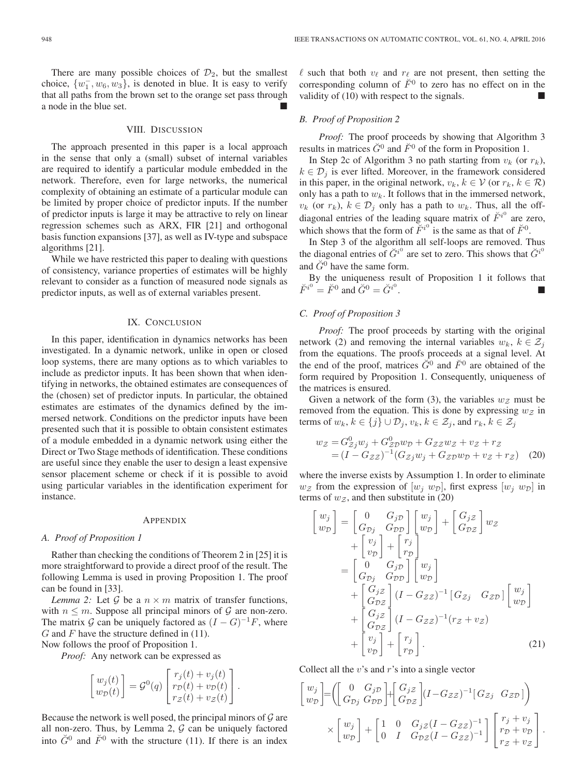There are many possible choices of  $\mathcal{D}_2$ , but the smallest choice,  $\{w_1^-, w_6, w_3\}$ , is denoted in blue. It is easy to verify that all paths from the brown set to the orange set pass through a node in the blue set.

# VIII. DISCUSSION

The approach presented in this paper is a local approach in the sense that only a (small) subset of internal variables are required to identify a particular module embedded in the network. Therefore, even for large networks, the numerical complexity of obtaining an estimate of a particular module can be limited by proper choice of predictor inputs. If the number of predictor inputs is large it may be attractive to rely on linear regression schemes such as ARX, FIR [21] and orthogonal basis function expansions [37], as well as IV-type and subspace algorithms [21].

While we have restricted this paper to dealing with questions of consistency, variance properties of estimates will be highly relevant to consider as a function of measured node signals as predictor inputs, as well as of external variables present.

#### IX. CONCLUSION

In this paper, identification in dynamics networks has been investigated. In a dynamic network, unlike in open or closed loop systems, there are many options as to which variables to include as predictor inputs. It has been shown that when identifying in networks, the obtained estimates are consequences of the (chosen) set of predictor inputs. In particular, the obtained estimates are estimates of the dynamics defined by the immersed network. Conditions on the predictor inputs have been presented such that it is possible to obtain consistent estimates of a module embedded in a dynamic network using either the Direct or Two Stage methods of identification. These conditions are useful since they enable the user to design a least expensive sensor placement scheme or check if it is possible to avoid using particular variables in the identification experiment for instance.

#### APPENDIX

#### *A. Proof of Proposition 1*

Rather than checking the conditions of Theorem 2 in [25] it is more straightforward to provide a direct proof of the result. The following Lemma is used in proving Proposition 1. The proof can be found in [33].

*Lemma 2:* Let  $\mathcal G$  be a  $n \times m$  matrix of transfer functions, with  $n \leq m$ . Suppose all principal minors of  $\mathcal G$  are non-zero. The matrix G can be uniquely factored as  $(I - G)^{-1}F$ , where  $G$  and  $F$  have the structure defined in (11).

Now follows the proof of Proposition 1.

*Proof:* Any network can be expressed as

$$
\begin{bmatrix} w_j(t) \\ w_{\mathcal{D}}(t) \end{bmatrix} = \mathcal{G}^0(q) \begin{bmatrix} r_j(t) + v_j(t) \\ r_{\mathcal{D}}(t) + v_{\mathcal{D}}(t) \\ r_{\mathcal{Z}}(t) + v_{\mathcal{Z}}(t) \end{bmatrix}.
$$

Because the network is well posed, the principal minors of  $\mathcal G$  are all non-zero. Thus, by Lemma  $2, G$  can be uniquely factored into  $\check{G}^0$  and  $\check{F}^0$  with the structure (11). If there is an index

 $\ell$  such that both  $v_{\ell}$  and  $r_{\ell}$  are not present, then setting the corresponding column of  $\tilde{F}^0$  to zero has no effect on in the validity of (10) with respect to the signals.

# *B. Proof of Proposition 2*

*Proof:* The proof proceeds by showing that Algorithm 3 results in matrices  $\check{G}^0$  and  $\check{F}^0$  of the form in Proposition 1.

In Step 2c of Algorithm 3 no path starting from  $v_k$  (or  $r_k$ ),  $k \in \mathcal{D}_i$  is ever lifted. Moreover, in the framework considered in this paper, in the original network,  $v_k, k \in V$  (or  $r_k, k \in \mathcal{R}$ ) only has a path to  $w_k$ . It follows that in the immersed network,  $v_k$  (or  $r_k$ ),  $k \in \mathcal{D}_j$  only has a path to  $w_k$ . Thus, all the offdiagonal entries of the leading square matrix of  $\check{F}^{i^0}$  are zero, which shows that the form of  $\check{F}^{i^0}$  is the same as that of  $\check{F}^{0}$ .

In Step 3 of the algorithm all self-loops are removed. Thus the diagonal entries of  $\check{G}^{i^0}$  are set to zero. This shows that  $\check{G}^{i^0}$ and  $\check{G}^0$  have the same form.

By the uniqueness result of Proposition 1 it follows that  $\breve{F}^{i^0} = \breve{F}^0$  and  $\breve{G}^0 = \breve{G}^{i^0}$ . -

# *C. Proof of Proposition 3*

*Proof:* The proof proceeds by starting with the original network (2) and removing the internal variables  $w_k$ ,  $k \in \mathcal{Z}_i$ from the equations. The proofs proceeds at a signal level. At the end of the proof, matrices  $\check{G}^0$  and  $\check{F}^0$  are obtained of the form required by Proposition 1. Consequently, uniqueness of the matrices is ensured.

Given a network of the form (3), the variables  $w_z$  must be removed from the equation. This is done by expressing  $w_z$  in terms of  $w_k, k \in \{j\} \cup \mathcal{D}_j, v_k, k \in \mathcal{Z}_j$ , and  $r_k, k \in \mathcal{Z}_j$ 

$$
w_Z = G_{Zj}^0 w_j + G_{ZD}^0 w_D + G_{ZZ} w_Z + v_Z + r_Z
$$
  
=  $(I - G_{ZZ})^{-1} (G_{Zj} w_j + G_{ZD} w_D + v_Z + r_Z)$  (20)

where the inverse exists by Assumption 1. In order to eliminate  $w_z$  from the expression of  $[w_i \ w_{\mathcal{D}}]$ , first express  $[w_i \ w_{\mathcal{D}}]$  in terms of  $w_z$ , and then substitute in (20)

$$
\begin{bmatrix} w_j \\ w_D \end{bmatrix} = \begin{bmatrix} 0 & G_{jD} \\ G_{Dj} & G_{DD} \end{bmatrix} \begin{bmatrix} w_j \\ w_D \end{bmatrix} + \begin{bmatrix} G_{jZ} \\ G_{DZ} \end{bmatrix} w_Z \n+ \begin{bmatrix} v_j \\ v_D \end{bmatrix} + \begin{bmatrix} r_j \\ r_D \end{bmatrix} \n= \begin{bmatrix} 0 & G_{jD} \\ G_{Dj} & G_{DD} \end{bmatrix} \begin{bmatrix} w_j \\ w_D \end{bmatrix} \n+ \begin{bmatrix} G_{jZ} \\ G_{DZ} \end{bmatrix} (I - G_{ZZ})^{-1} [G_{Zj} & G_{ZD}] \begin{bmatrix} w_j \\ w_D \end{bmatrix} \n+ \begin{bmatrix} G_{jZ} \\ G_{DZ} \end{bmatrix} (I - G_{ZZ})^{-1} (r_Z + v_Z) \n+ \begin{bmatrix} v_j \\ v_D \end{bmatrix} + \begin{bmatrix} r_j \\ r_D \end{bmatrix} .
$$
\n(21)

Collect all the  $v$ 's and  $r$ 's into a single vector

$$
\begin{bmatrix} w_j \\ w_{\mathcal{D}} \end{bmatrix} = \left( \begin{bmatrix} 0 & G_{j\mathcal{D}} \\ G_{\mathcal{D}j} & G_{\mathcal{D}\mathcal{D}} \end{bmatrix} + \begin{bmatrix} G_{j\mathcal{Z}} \\ G_{\mathcal{D}\mathcal{Z}} \end{bmatrix} (I - G_{\mathcal{Z}\mathcal{Z}})^{-1} [G_{\mathcal{Z}j} & G_{\mathcal{Z}\mathcal{D}}] \right) \\
\times \begin{bmatrix} w_j \\ w_{\mathcal{D}} \end{bmatrix} + \begin{bmatrix} 1 & 0 & G_{j\mathcal{Z}} (I - G_{\mathcal{Z}\mathcal{Z}})^{-1} \\ 0 & I & G_{\mathcal{D}\mathcal{Z}} (I - G_{\mathcal{Z}\mathcal{Z}})^{-1} \end{bmatrix} \begin{bmatrix} r_j + v_j \\ r_{\mathcal{D}} + v_{\mathcal{D}} \\ r_{\mathcal{Z}} + v_{\mathcal{Z}} \end{bmatrix}.
$$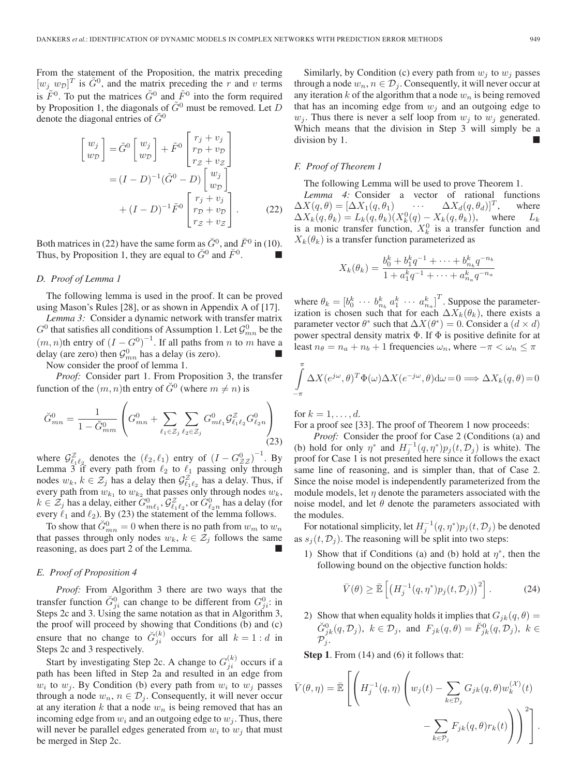From the statement of the Proposition, the matrix preceding  $[w_j \ w_{\mathcal{D}}]^T$  is  $\tilde{G}^0$ , and the matrix preceding the r and v terms is  $\tilde{F}^0$ . To put the matrices  $\tilde{G}^0$  and  $\tilde{F}^0$  into the form required by Proposition 1, the diagonals of  $\tilde{G}^0$  must be removed. Let D denote the diagonal entries of  $\tilde{G}^0$ 

$$
\begin{bmatrix} w_j \\ w_D \end{bmatrix} = \tilde{G}^0 \begin{bmatrix} w_j \\ w_D \end{bmatrix} + \tilde{F}^0 \begin{bmatrix} r_j + v_j \\ r_D + v_D \\ r_Z + v_Z \end{bmatrix}
$$

$$
= (I - D)^{-1} (\tilde{G}^0 - D) \begin{bmatrix} w_j \\ w_D \end{bmatrix}
$$

$$
+ (I - D)^{-1} \tilde{F}^0 \begin{bmatrix} r_j + v_j \\ r_D + v_D \\ r_Z + v_Z \end{bmatrix} .
$$
(22)

Both matrices in (22) have the same form as  $\check{G}^0$ , and  $\check{F}^0$  in (10). Thus, by Proposition 1, they are equal to  $\check{G}^0$  and  $\check{F}^0$ .

#### *D. Proof of Lemma 1*

The following lemma is used in the proof. It can be proved using Mason's Rules [28], or as shown in Appendix A of [17].

*Lemma 3:* Consider a dynamic network with transfer matrix  $G^0$  that satisfies all conditions of Assumption 1. Let  $\mathcal{G}^0_{mn}$  be the  $(m, n)$ th entry of  $(I - G^0)^{-1}$ . If all paths from *n* to *m* have a delay (are zero) then  $\mathcal{G}_{mn}^0$  has a delay (is zero).

Now consider the proof of lemma 1.

*Proof:* Consider part 1. From Proposition 3, the transfer function of the  $(m, n)$ th entry of  $\check{G}^0$  (where  $m \neq n$ ) is

$$
\check{G}_{mn}^0 = \frac{1}{1 - \tilde{G}_{mm}^0} \left( G_{mn}^0 + \sum_{\ell_1 \in \mathcal{Z}_j} \sum_{\ell_2 \in \mathcal{Z}_j} G_{m\ell_1}^0 \mathcal{G}_{\ell_1 \ell_2}^{\mathcal{Z}} G_{\ell_2 n}^0 \right)
$$
(23)

where  $\mathcal{G}^{\mathcal{Z}}_{\ell_1 \ell_2}$  denotes the  $(\ell_2, \ell_1)$  entry of  $(I - G^0_{\mathcal{Z} \mathcal{Z}})^{-1}$ . By Lemma 3 if every path from  $\ell_2$  to  $\ell_1$  passing only through nodes  $w_k$ ,  $k \in \mathcal{Z}_j$  has a delay then  $\mathcal{G}^{\mathcal{Z}}_{\ell_1 \ell_2}$  has a delay. Thus, if every path from  $w_{k_1}$  to  $w_{k_2}$  that passes only through nodes  $w_k$ ,  $k\in\mathcal{Z}_j$  has a delay, either  $G^0_{m\ell_1},\mathcal{G}^{\mathcal{Z}}_{\ell_1\ell_2},$  or  $G^0_{\ell_2 n}$  has a delay (for every  $\ell_1$  and  $\ell_2$ ). By (23) the statement of the lemma follows.

To show that  $\check{G}_{mn}^0 = 0$  when there is no path from  $w_m$  to  $w_n$ that passes through only nodes  $w_k$ ,  $k \in \mathcal{Z}_j$  follows the same reasoning, as does part 2 of the Lemma.

# *E. Proof of Proposition 4*

*Proof:* From Algorithm 3 there are two ways that the transfer function  $\check{G}_{ji}^0$  can change to be different from  $G_{ji}^0$ : in Steps 2c and 3. Using the same notation as that in Algorithm 3, the proof will proceed by showing that Conditions (b) and (c) ensure that no change to  $\check{G}_{ji}^{(k)}$  occurs for all  $k = 1:d$  in Steps 2c and 3 respectively.

Start by investigating Step 2c. A change to  $G_{ji}^{(k)}$  occurs if a path has been lifted in Step 2a and resulted in an edge from  $w_i$  to  $w_j$ . By Condition (b) every path from  $w_i$  to  $w_j$  passes through a node  $w_n$ ,  $n \in \mathcal{D}_i$ . Consequently, it will never occur at any iteration  $k$  that a node  $w_n$  is being removed that has an incoming edge from  $w_i$  and an outgoing edge to  $w_j$ . Thus, there will never be parallel edges generated from  $w_i$  to  $w_j$  that must be merged in Step 2c.

Similarly, by Condition (c) every path from  $w_j$  to  $w_j$  passes through a node  $w_n$ ,  $n \in \mathcal{D}_j$ . Consequently, it will never occur at any iteration k of the algorithm that a node  $w_n$  is being removed that has an incoming edge from  $w_j$  and an outgoing edge to  $w_j$ . Thus there is never a self loop from  $w_j$  to  $w_j$  generated. Which means that the division in Step 3 will simply be a division by 1.

# *F. Proof of Theorem 1*

The following Lemma will be used to prove Theorem 1. *Lemma 4:* Consider a vector of rational functions  $X(q, \theta) = [\Delta X_1(q, \theta_1) \cdots \Delta X_d(q, \theta_d)]^T$ , where  $\Delta X(q, \theta) = [\Delta X_1(q, \theta_1) \quad \cdots \quad \Delta X_d(q, \theta_d)]^T$ , where  $\Delta X_k(q, \theta_k) = L_k(q, \theta_k) (X_k^0(q) - X_k(q, \theta_k)),$  where  $L_k$ is a monic transfer function,  $X_k^0$  is a transfer function and  $X_k(\theta_k)$  is a transfer function parameterized as

$$
X_k(\theta_k) = \frac{b_0^k + b_1^k q^{-1} + \dots + b_{n_b}^k q^{-n_b}}{1 + a_1^k q^{-1} + \dots + a_{n_a}^k q^{-n_a}}
$$

where  $\theta_k = \begin{bmatrix} b_0^k & \cdots & b_{n_b}^k & a_1^k & \cdots & a_{n_a}^k \end{bmatrix}^T$ . Suppose the parameterization is chosen such that for each  $\Delta X_k(\theta_k)$ , there exists a parameter vector  $\theta^*$  such that  $\Delta X(\theta^*)=0$ . Consider a  $(d \times d)$ power spectral density matrix  $\Phi$ . If  $\Phi$  is positive definite for at least  $n_{\theta} = n_a + n_b + 1$  frequencies  $\omega_n$ , where  $-\pi < \omega_n \le \pi$ 

$$
\int_{-\pi}^{\pi} \Delta X(e^{j\omega}, \theta)^T \Phi(\omega) \Delta X(e^{-j\omega}, \theta) d\omega = 0 \Longrightarrow \Delta X_k(q, \theta) = 0
$$

for  $k = 1, \ldots, d$ .

For a proof see [33]. The proof of Theorem 1 now proceeds:

*Proof:* Consider the proof for Case 2 (Conditions (a) and (b) hold for only  $\eta^*$  and  $H_j^{-1}(q, \eta^*)p_j(t, \mathcal{D}_j)$  is white). The proof for Case 1 is not presented here since it follows the exact same line of reasoning, and is simpler than, that of Case 2. Since the noise model is independently parameterized from the module models, let  $\eta$  denote the parameters associated with the noise model, and let  $\theta$  denote the parameters associated with the modules.

For notational simplicity, let  $H_j^{-1}(q, \eta^*)p_j(t, \mathcal{D}_j)$  be denoted as  $s_i(t, \mathcal{D}_i)$ . The reasoning will be split into two steps:

1) Show that if Conditions (a) and (b) hold at  $\eta^*$ , then the following bound on the objective function holds:

$$
\bar{V}(\theta) \ge \mathbb{E}\left[\left(H_j^{-1}(q,\eta^*)p_j(t,\mathcal{D}_j)\right)^2\right].\tag{24}
$$

2) Show that when equality holds it implies that  $G_{ik}(q, \theta) =$  $\check{G}_{jk}^{0}(q, \mathcal{D}_{j}),\,\,k\in\mathcal{D}_{j},\,\,\text{and}\,\,\,F_{jk}(q, \theta)=\check{F}_{jk}^{0}(q, \mathcal{D}_{j}),\,\,k\in\mathcal{D}_{j},$  $\mathcal{P}_j$  .

**Step 1**. From (14) and (6) it follows that:

$$
\bar{V}(\theta,\eta) = \bar{\mathbb{E}}\left[\left(H_j^{-1}(q,\eta)\left(w_j(t) - \sum_{k\in\mathcal{D}_j}G_{jk}(q,\theta)w_k^{(\mathcal{X})}(t)\right) - \sum_{k\in\mathcal{P}_j}F_{jk}(q,\theta)r_k(t)\right)\right]^2\right].
$$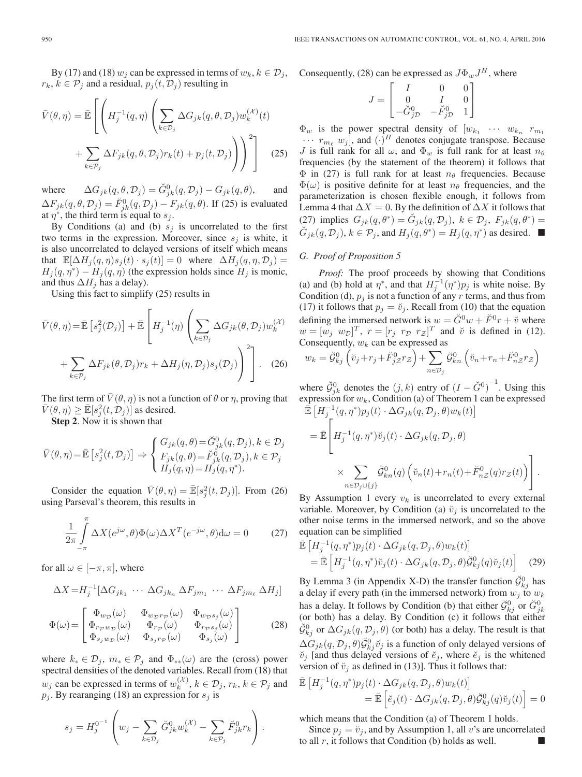By (17) and (18)  $w_j$  can be expressed in terms of  $w_k, k \in \mathcal{D}_j$ , Consequently, (28) can be expressed as  $J\Phi_w J^H$ , where  $r_k, k \in \mathcal{P}_j$  and a residual,  $p_j(t, \mathcal{D}_j)$  resulting in

$$
\bar{V}(\theta,\eta) = \bar{\mathbb{E}} \left[ \left( H_j^{-1}(q,\eta) \left( \sum_{k \in \mathcal{D}_j} \Delta G_{jk}(q,\theta,\mathcal{D}_j) w_k^{(\mathcal{X})}(t) + \sum_{k \in \mathcal{P}_j} \Delta F_{jk}(q,\theta,\mathcal{D}_j) r_k(t) + p_j(t,\mathcal{D}_j) \right) \right)^2 \right]
$$
(25)

where  $\Delta G_{jk}(q, \theta, \mathcal{D}_j) = \breve{G}_{jk}^0(q, \mathcal{D}_j) - G_{jk}(q, \theta),$  and  $\Delta F_{jk}(q, \theta, \mathcal{D}_j) = \breve{F}_{jk}^0(q, \mathcal{D}_j) - F_{jk}(q, \theta)$ . If (25) is evaluated at  $\eta^*$ , the third term is equal to  $s_j$ .

By Conditions (a) and (b)  $s_j$  is uncorrelated to the first two terms in the expression. Moreover, since  $s_i$  is white, it is also uncorrelated to delayed versions of itself which means that  $\mathbb{E}[\Delta H_i(q,\eta)s_i(t) \cdot s_i(t)] = 0$  where  $\Delta H_i(q,\eta,\mathcal{D}_i) =$  $H_j(q, \eta^*) - H_j(q, \eta)$  (the expression holds since  $H_j$  is monic, and thus  $\Delta H_i$  has a delay).

Using this fact to simplify (25) results in

$$
\bar{V}(\theta,\eta) = \bar{\mathbb{E}} \left[ s_j^2(\mathcal{D}_j) \right] + \bar{\mathbb{E}} \left[ H_j^{-1}(\eta) \left( \sum_{k \in \mathcal{D}_j} \Delta G_{jk}(\theta, \mathcal{D}_j) w_k^{(\mathcal{X})} \right) + \sum_{k \in \mathcal{P}_j} \Delta F_{jk}(\theta, \mathcal{D}_j) r_k + \Delta H_j(\eta, \mathcal{D}_j) s_j(\mathcal{D}_j) \right)^2 \right].
$$
 (26)

The first term of  $\bar{V}(\theta, \eta)$  is not a function of  $\theta$  or  $\eta$ , proving that  $\bar{V}(\theta, \eta) \geq \bar{\mathbb{E}}[s_j^2(t, \mathcal{D}_j)]$  as desired.

**Step 2**. Now it is shown that

$$
\bar{V}(\theta,\eta) = \bar{\mathbb{E}}\left[s_j^2(t,\mathcal{D}_j)\right] \Rightarrow \begin{cases} G_{jk}(q,\theta) = \check{G}_{jk}^0(q,\mathcal{D}_j), k \in \mathcal{D}_j \\ F_{jk}(q,\theta) = \check{F}_{jk}^0(q,\mathcal{D}_j), k \in \mathcal{P}_j \\ H_j(q,\eta) = H_j(q,\eta^*). \end{cases}
$$

Consider the equation  $\overline{V}(\theta, \eta) = \overline{\mathbb{E}}[s_j^2(t, \mathcal{D}_j)]$ . From (26) using Parseval's theorem, this results in

$$
\frac{1}{2\pi} \int_{-\pi}^{\pi} \Delta X(e^{j\omega}, \theta) \Phi(\omega) \Delta X^{T}(e^{-j\omega}, \theta) d\omega = 0 \quad (27)
$$

for all  $\omega \in [-\pi, \pi]$ , where

$$
\Delta X = H_j^{-1} [\Delta G_{jk_1} \cdots \Delta G_{jk_n} \Delta F_{jm_1} \cdots \Delta F_{jm_\ell} \Delta H_j]
$$

$$
\Phi(\omega) = \begin{bmatrix}\n\Phi_{w_D}(\omega) & \Phi_{w_D r_{\mathcal{P}}}(\omega) & \Phi_{w_D s_j}(\omega) \\
\Phi_{r_{\mathcal{P}}}(\omega) & \Phi_{r_{\mathcal{P}}}(\omega) & \Phi_{r_{\mathcal{P}} s_j}(\omega) \\
\Phi_{s_j w_D}(\omega) & \Phi_{s_j r_{\mathcal{P}}}(\omega) & \Phi_{s_j}(\omega)\n\end{bmatrix}
$$
\n(28)

where  $k_* \in \mathcal{D}_j$ ,  $m_* \in \mathcal{P}_j$  and  $\Phi_{**}(\omega)$  are the (cross) power spectral densities of the denoted variables. Recall from (18) that  $w_j$  can be expressed in terms of  $w_k^{(\mathcal{X})}$ ,  $k \in \mathcal{D}_j$ ,  $r_k$ ,  $k \in \mathcal{P}_j$  and  $p_j$ . By rearanging (18) an expression for  $s_j$  is

$$
s_j = H_j^{0^{-1}} \left( w_j - \sum_{k \in \mathcal{D}_j} \check{G}_{jk}^0 w_k^{(\mathcal{X})} - \sum_{k \in \mathcal{P}_j} \check{F}_{jk}^0 r_k \right).
$$

$$
J = \begin{bmatrix} I & 0 & 0 \\ 0 & I & 0 \\ -\breve{G}_{j\mathcal{D}}^0 & -\breve{F}_{j\mathcal{D}}^0 & 1 \end{bmatrix}
$$

 $\Phi_w$  is the power spectral density of  $[w_{k_1} \cdots w_{k_n}$   $r_{m_1}]$  $\cdots r_{m_\ell}$   $w_j$ ], and  $(\cdot)^H$  denotes conjugate transpose. Because J is full rank for all  $\omega$ , and  $\Phi_w$  is full rank for at least  $n_\theta$ frequencies (by the statement of the theorem) it follows that  $Φ$  in (27) is full rank for at least  $nθ$  frequencies. Because  $\Phi(\omega)$  is positive definite for at least  $n_{\theta}$  frequencies, and the parameterization is chosen flexible enough, it follows from Lemma 4 that  $\Delta X = 0$ . By the definition of  $\Delta X$  it follows that (27) implies  $G_{jk}(q, \theta^*) = \tilde{G}_{jk}(q, \mathcal{D}_j)$ ,  $k \in \mathcal{D}_j$ ,  $F_{jk}(q, \theta^*) =$  $\check{G}_{jk}(q, \mathcal{D}_j)$ ,  $k \in \mathcal{P}_j$ , and  $H_j(q, \theta^*) = H_j(q, \eta^*)$  as desired.  $\blacksquare$ 

### *G. Proof of Proposition 5*

*Proof:* The proof proceeds by showing that Conditions (a) and (b) hold at  $\eta^*$ , and that  $H_j^{-1}(\eta^*)p_j$  is white noise. By Condition (d),  $p_i$  is not a function of any r terms, and thus from (17) it follows that  $p_j = \check{v}_j$ . Recall from (10) that the equation defining the immersed network is  $w = \check{G}^0 w + \check{F}^0 r + \check{v}$  where  $w = [w_j \ w_{\mathcal{D}}]^T$ ,  $r = [r_j \ r_{\mathcal{D}} \ r_{\mathcal{Z}}]^T$  and  $\breve{v}$  is defined in (12). Consequently,  $w_k$  can be expressed as

$$
w_k = \breve{\mathcal{G}}_{kj}^0 \left( \breve{v}_j + r_j + \breve{F}_{jZ}^0 r_z \right) + \sum_{n \in \mathcal{D}_j} \breve{\mathcal{G}}_{kn}^0 \left( \breve{v}_n + r_n + \breve{F}_{nZ}^0 r_z \right)
$$

where  $\check{\mathcal{G}}_{jk}^0$  denotes the  $(j, k)$  entry of  $(I - \check{G}^0)^{-1}$ . Using this expression for  $w_k$ , Condition (a) of Theorem 1 can be expressed  $\mathbb{\bar{E}}\left[H_{j}^{-1}(q,\eta^{*})p_{j}(t)\cdot\Delta G_{jk}(q,\mathcal{D}_{j},\theta)w_{k}(t)\right]$ 

$$
= \bar{\mathbb{E}}\left[H_j^{-1}(q,\eta^*)\check{v}_j(t) \cdot \Delta G_{jk}(q,\mathcal{D}_j,\theta)\right] \times \sum_{n\in\mathcal{D}_j\cup\{j\}} \check{\mathcal{G}}_{kn}^0(q) \left(\check{v}_n(t)+r_n(t)+\check{F}_{n\mathcal{Z}}^0(q)r_{\mathcal{Z}}(t)\right)\right].
$$

By Assumption 1 every  $v_k$  is uncorrelated to every external variable. Moreover, by Condition (a)  $\check{v}_i$  is uncorrelated to the other noise terms in the immersed network, and so the above equation can be simplified

$$
\begin{split} \n\bar{\mathbb{E}} \left[ H_j^{-1}(q, \eta^*) p_j(t) \cdot \Delta G_{jk}(q, \mathcal{D}_j, \theta) w_k(t) \right] \\ \n&= \bar{\mathbb{E}} \left[ H_j^{-1}(q, \eta^*) \breve{v}_j(t) \cdot \Delta G_{jk}(q, \mathcal{D}_j, \theta) \breve{\mathcal{G}}_{kj}^0(q) \breve{v}_j(t) \right] \n\end{split} \tag{29}
$$

By Lemma 3 (in Appendix X-D) the transfer function  $\check{\mathcal{G}}_{kj}^0$  has a delay if every path (in the immersed network) from  $w_j$  to  $w_k$ has a delay. It follows by Condition (b) that either  $\check{\mathcal{G}}_{kj}^0$  or  $\check{G}_{jk}^0$ (or both) has a delay. By Condition (c) it follows that either  $\breve{\mathcal{G}}_{kj}^0$  or  $\Delta G_{jk}(q, \mathcal{D}_j, \theta)$  (or both) has a delay. The result is that  $\Delta G_{jk}(q, \mathcal{D}_j, \theta) \breve{\mathcal{G}}^0_{kj} \breve{v}_j$  is a function of only delayed versions of  $\check{v}_j$  [and thus delayed versions of  $\check{e}_j$ , where  $\check{e}_j$  is the whitened version of  $\check{v}_j$  as defined in (13)]. Thus it follows that:

$$
\begin{aligned} \mathbb{\bar{E}}\left[H_j^{-1}(q,\eta^*)p_j(t)\cdot\Delta G_{jk}(q,\mathcal{D}_j,\theta)w_k(t)\right] \\ &= \mathbb{\bar{E}}\left[\breve{e}_j(t)\cdot\Delta G_{jk}(q,\mathcal{D}_j,\theta)\breve{\mathcal{G}}_{kj}^0(q)\breve{v}_j(t)\right] = 0 \end{aligned}
$$

which means that the Condition (a) of Theorem 1 holds.

Since  $p_i = \breve{v}_i$ , and by Assumption 1, all v's are uncorrelated to all  $r$ , it follows that Condition (b) holds as well.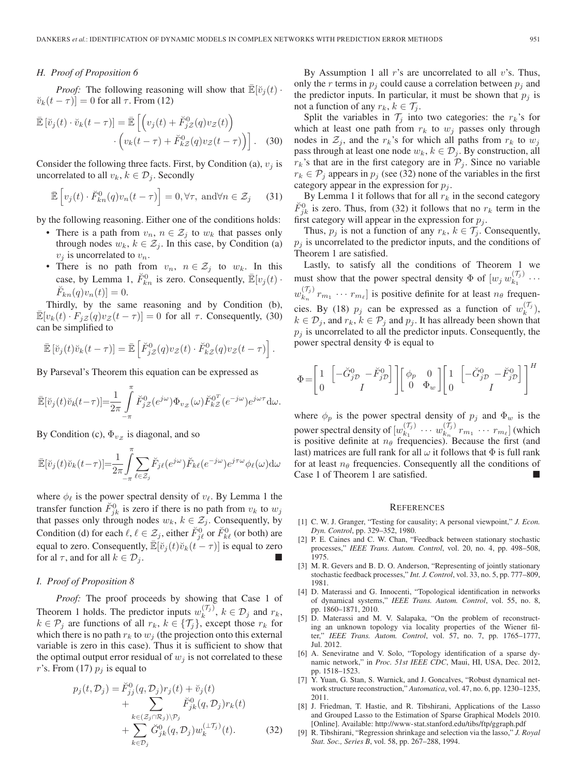#### *H. Proof of Proposition 6*

*Proof:* The following reasoning will show that  $\mathbb{E}[\breve{v}_i(t)]$ .  $\breve{v}_k(t-\tau)]=0$  for all  $\tau$ . From (12)

$$
\bar{\mathbb{E}}\left[\breve{v}_j(t)\cdot\breve{v}_k(t-\tau)\right] = \bar{\mathbb{E}}\left[\left(v_j(t) + \breve{F}_{jZ}^0(q)v_Z(t)\right) \cdot \left(v_k(t-\tau) + \breve{F}_{kZ}^0(q)v_Z(t-\tau)\right)\right].
$$
 (30)

Consider the following three facts. First, by Condition (a),  $v_i$  is uncorrelated to all  $v_k$ ,  $k \in \mathcal{D}_j$ . Secondly

$$
\bar{\mathbb{E}}\left[v_j(t)\cdot\breve{F}_{kn}^0(q)v_n(t-\tau)\right] = 0, \forall \tau, \text{ and } \forall n \in \mathcal{Z}_j \tag{31}
$$

by the following reasoning. Either one of the conditions holds:

- There is a path from  $v_n$ ,  $n \in \mathcal{Z}_i$  to  $w_k$  that passes only through nodes  $w_k$ ,  $k \in \mathcal{Z}_i$ . In this case, by Condition (a)  $v_i$  is uncorrelated to  $v_n$ .
- There is no path from  $v_n$ ,  $n \in \mathcal{Z}_j$  to  $w_k$ . In this case, by Lemma 1,  $\check{F}_{kn}^0$  is zero. Consequently,  $\mathbb{\bar{E}}[v_j(t)]$  $F_{kn}(q)v_n(t)]=0.$

Thirdly, by the same reasoning and by Condition (b),  $\mathbb{E}[v_k(t) \cdot F_{jZ}(q)v_Z(t-\tau)] = 0$  for all  $\tau$ . Consequently, (30) can be simplified to

$$
\mathbb{E}\left[\breve{v}_j(t)\breve{v}_k(t-\tau)\right] = \mathbb{E}\left[\breve{F}^0_{j\mathcal{Z}}(q)v_{\mathcal{Z}}(t)\cdot\breve{F}^0_{k\mathcal{Z}}(q)v_{\mathcal{Z}}(t-\tau)\right].
$$

By Parseval's Theorem this equation can be expressed as

$$
\mathbb{\bar{E}}[\breve{v}_j(t)\breve{v}_k(t-\tau)] = \frac{1}{2\pi} \int\limits_{-\pi}^{\pi} \breve{F}^0_{j\mathcal{Z}}(e^{j\omega}) \Phi_{v_{\mathcal{Z}}}(\omega) \breve{F}^{0^T}_{k\mathcal{Z}}(e^{-j\omega}) e^{j\omega\tau} d\omega.
$$

By Condition (c),  $\Phi_{vz}$  is diagonal, and so

$$
\mathbb{\bar{E}}[\breve{v}_j(t)\breve{v}_k(t-\tau)] = \frac{1}{2\pi} \int_{-\pi}^{\pi} \sum_{\ell \in \mathcal{Z}_j} \breve{F}_{j\ell}(e^{j\omega}) \breve{F}_{k\ell}(e^{-j\omega}) e^{j\tau\omega} \phi_{\ell}(\omega) d\omega
$$

where  $\phi_{\ell}$  is the power spectral density of  $v_{\ell}$ . By Lemma 1 the transfer function  $\check{F}_{jk}^0$  is zero if there is no path from  $v_k$  to  $w_j$ that passes only through nodes  $w_k$ ,  $k \in \mathcal{Z}_j$ . Consequently, by Condition (d) for each  $\ell, \ell \in \mathcal{Z}_j$ , either  $\check{F}_{j\ell}^0$  or  $\check{F}_{k\ell}^0$  (or both) are equal to zero. Consequently,  $\mathbb{\bar{E}}[\breve{v}_j(t)\breve{v}_k(t-\tau)]$  is equal to zero for al  $\tau$ , and for all  $k \in \mathcal{D}_j$ .

# *I. Proof of Proposition 8*

*Proof:* The proof proceeds by showing that Case 1 of Theorem 1 holds. The predictor inputs  $w_k^{(\mathcal{T}_j)}$ ,  $k \in \mathcal{D}_j$  and  $r_k$ ,  $k \in \mathcal{P}_j$  are functions of all  $r_k$ ,  $k \in \{\mathcal{T}_j\}$ , except those  $r_k$  for which there is no path  $r_k$  to  $w_j$  (the projection onto this external variable is zero in this case). Thus it is sufficient to show that the optimal output error residual of  $w_j$  is not correlated to these r's. From (17)  $p_i$  is equal to

$$
p_j(t, \mathcal{D}_j) = \breve{F}_{jj}^0(q, \mathcal{D}_j) r_j(t) + \breve{v}_j(t)
$$
  
+ 
$$
\sum_{k \in (\mathcal{Z}_j \cap \mathcal{R}_j) \backslash \mathcal{P}_j} \breve{F}_{jk}^0(q, \mathcal{D}_j) r_k(t)
$$
  
+ 
$$
\sum_{k \in \mathcal{D}_j} \breve{G}_{jk}^0(q, \mathcal{D}_j) w_k^{(\perp \mathcal{T}_j)}(t).
$$
 (32)

By Assumption 1 all  $r$ 's are uncorrelated to all  $v$ 's. Thus, only the r terms in  $p_i$  could cause a correlation between  $p_i$  and the predictor inputs. In particular, it must be shown that  $p_i$  is not a function of any  $r_k, k \in \mathcal{T}_j$ .

Split the variables in  $\mathcal{T}_j$  into two categories: the  $r_k$ 's for which at least one path from  $r_k$  to  $w_j$  passes only through nodes in  $\mathcal{Z}_j$ , and the  $r_k$ 's for which all paths from  $r_k$  to  $w_j$ pass through at least one node  $w_k$ ,  $k \in \mathcal{D}_i$ . By construction, all  $r_k$ 's that are in the first category are in  $P_i$ . Since no variable  $r_k \in \mathcal{P}_i$  appears in  $p_i$  (see (32) none of the variables in the first category appear in the expression for  $p_i$ .

By Lemma 1 it follows that for all  $r_k$  in the second category  $\check{F}_{jk}^0$  is zero. Thus, from (32) it follows that no  $r_k$  term in the first category will appear in the expression for  $p_j$ .

Thus,  $p_j$  is not a function of any  $r_k$ ,  $k \in \mathcal{T}_j$ . Consequently,  $p_i$  is uncorrelated to the predictor inputs, and the conditions of Theorem 1 are satisfied.

Lastly, to satisfy all the conditions of Theorem 1 we must show that the power spectral density  $\Phi$  of  $[w_j w_{k_1}^{(\mathcal{T}_j)} \cdots$  $w_{k_n}^{(\mathcal{T}_j)} r_{m_1} \cdots r_{m_\ell}$  is positive definite for at least  $n_\theta$  frequencies. By (18)  $p_j$  can be expressed as a function of  $w_k^{(\mathcal{T}_j)}$ ,  $k \in \mathcal{D}_j$ , and  $r_k, k \in \mathcal{P}_j$  and  $p_j$ . It has allready been shown that  $p_j$  is uncorrelated to all the predictor inputs. Consequently, the power spectral density  $\Phi$  is equal to

$$
\Phi = \begin{bmatrix} 1 & \left[ -\check{G}_{j\mathcal{D}}^{0} - \check{F}_{j\mathcal{D}}^{0} \right] \\ 0 & I \end{bmatrix} \begin{bmatrix} \phi_p & 0 \\ 0 & \Phi_w \end{bmatrix} \begin{bmatrix} 1 & \left[ -\check{G}_{j\mathcal{D}}^{0} - \check{F}_{j\mathcal{D}}^{0} \right] \\ 0 & I \end{bmatrix}^H
$$

where  $\phi_p$  is the power spectral density of  $p_i$  and  $\Phi_w$  is the power spectral density of  $[w_{k_1}^{(\mathcal{T}_j)} \; \cdots \; w_{k_n}^{(\mathcal{T}_j)} \; r_{m_1} \; \cdots \; r_{m_\ell}]$  (which is positive definite at  $n_{\theta}$  frequencies). Because the first (and last) matrices are full rank for all  $\omega$  it follows that  $\Phi$  is full rank for at least  $n_{\theta}$  frequencies. Consequently all the conditions of Case 1 of Theorem 1 are satisfied.

#### **REFERENCES**

- [1] C. W. J. Granger, "Testing for causality; A personal viewpoint," *J. Econ. Dyn. Control*, pp. 329–352, 1980.
- [2] P. E. Caines and C. W. Chan, "Feedback between stationary stochastic processes," *IEEE Trans. Autom. Control*, vol. 20, no. 4, pp. 498–508, 1975.
- [3] M. R. Gevers and B. D. O. Anderson, "Representing of jointly stationary stochastic feedback processes," *Int. J. Control*, vol. 33, no. 5, pp. 777–809, 1981.
- [4] D. Materassi and G. Innocenti, "Topological identification in networks of dynamical systems," *IEEE Trans. Autom. Control*, vol. 55, no. 8, pp. 1860–1871, 2010.
- [5] D. Materassi and M. V. Salapaka, "On the problem of reconstructing an unknown topology via locality properties of the Wiener filter," *IEEE Trans. Autom. Control*, vol. 57, no. 7, pp. 1765–1777, Jul. 2012.
- [6] A. Seneviratne and V. Solo, "Topology identification of a sparse dynamic network," in *Proc. 51st IEEE CDC*, Maui, HI, USA, Dec. 2012, pp. 1518–1523.
- [7] Y. Yuan, G. Stan, S. Warnick, and J. Goncalves, "Robust dynamical network structure reconstruction," *Automatica*, vol. 47, no. 6, pp. 1230–1235, 2011.
- [8] J. Friedman, T. Hastie, and R. Tibshirani, Applications of the Lasso and Grouped Lasso to the Estimation of Sparse Graphical Models 2010. [Online]. Available: http://www-stat.stanford.edu/tibs/ftp/ggraph.pdf
- [9] R. Tibshirani, "Regression shrinkage and selection via the lasso," *J. Royal Stat. Soc., Series B*, vol. 58, pp. 267–288, 1994.